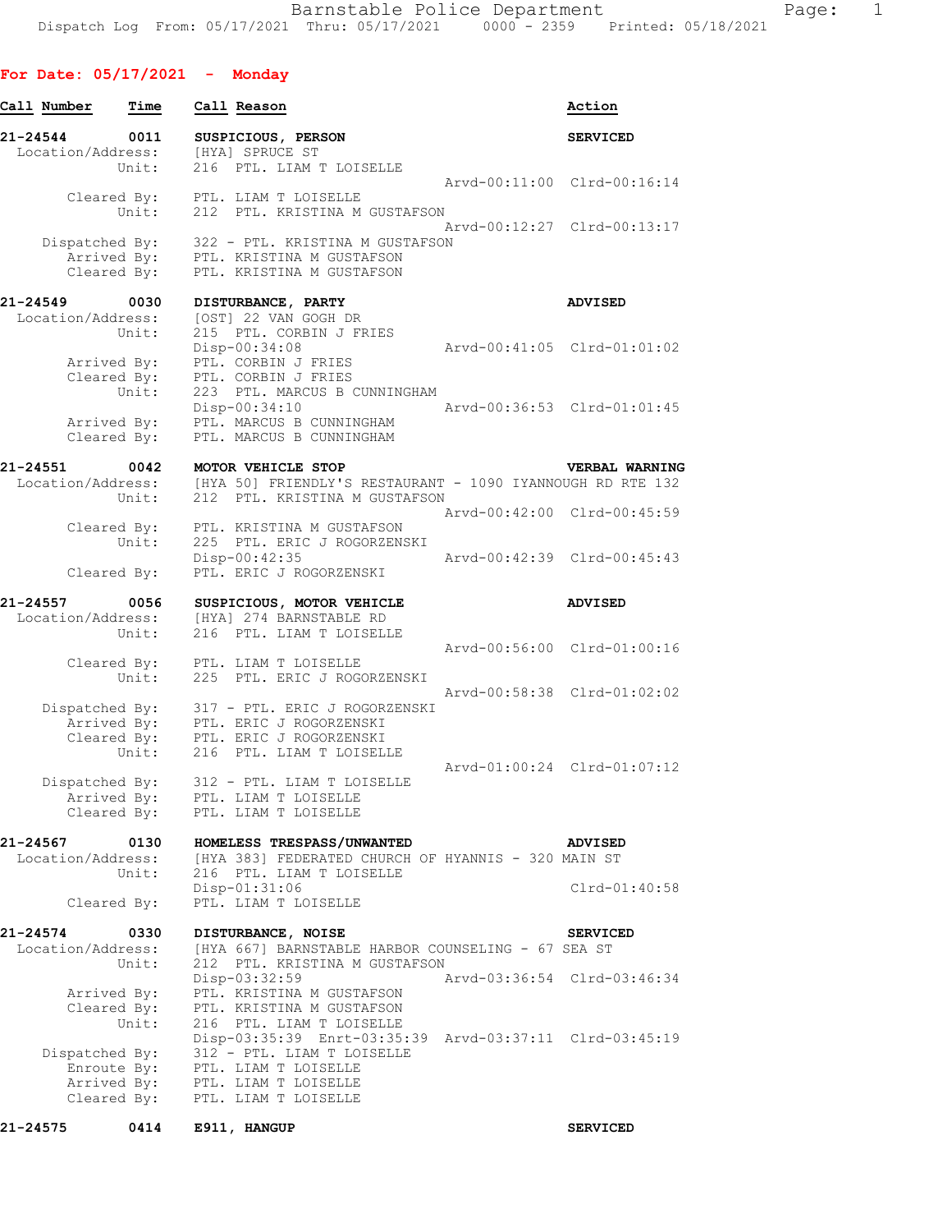## **For Date: 05/17/2021 - Monday**

| Call Number                   | Time                                         | Call Reason                                                                                                      | Action                      |
|-------------------------------|----------------------------------------------|------------------------------------------------------------------------------------------------------------------|-----------------------------|
| 21-24544<br>Location/Address: | 0011<br>Unit:                                | SUSPICIOUS, PERSON<br>[HYA] SPRUCE ST<br>216 PTL. LIAM T LOISELLE                                                | <b>SERVICED</b>             |
|                               | Unit:                                        | Cleared By: PTL. LIAM T LOISELLE<br>212 PTL. KRISTINA M GUSTAFSON                                                | Arvd-00:11:00 Clrd-00:16:14 |
|                               | Dispatched By:<br>Arrived By:<br>Cleared By: | 322 - PTL. KRISTINA M GUSTAFSON<br>PTL. KRISTINA M GUSTAFSON<br>PTL. KRISTINA M GUSTAFSON                        | Arvd-00:12:27 Clrd-00:13:17 |
| 21-24549 0030                 |                                              | DISTURBANCE, PARTY                                                                                               | <b>ADVISED</b>              |
| Location/Address:             | Unit:                                        | [OST] 22 VAN GOGH DR<br>215 PTL. CORBIN J FRIES<br>Disp-00:34:08                                                 | Arvd-00:41:05 Clrd-01:01:02 |
|                               | Arrived By:<br>Cleared By:<br>Unit:          | PTL. CORBIN J FRIES<br>PTL. CORBIN J FRIES<br>223 PTL. MARCUS B CUNNINGHAM                                       |                             |
|                               | Arrived By:<br>Cleared By:                   | Disp-00:34:10<br>PTL. MARCUS B CUNNINGHAM<br>PTL. MARCUS B CUNNINGHAM                                            | Arvd-00:36:53 Clrd-01:01:45 |
| 21-24551                      | 0042                                         | MOTOR VEHICLE STOP<br>Location/Address: [HYA 50] FRIENDLY'S RESTAURANT - 1090 IYANNOUGH RD RTE 132               | <b>VERBAL WARNING</b>       |
|                               | Unit:                                        | 212 PTL. KRISTINA M GUSTAFSON                                                                                    | Arvd-00:42:00 Clrd-00:45:59 |
|                               | Cleared By:<br>Unit:                         | PTL. KRISTINA M GUSTAFSON<br>225 PTL. ERIC J ROGORZENSKI<br>Disp-00:42:35                                        | Arvd-00:42:39 Clrd-00:45:43 |
|                               | Cleared By:                                  | PTL. ERIC J ROGORZENSKI                                                                                          |                             |
| 21-24557<br>Location/Address: | 0056                                         | SUSPICIOUS, MOTOR VEHICLE<br>[HYA] 274 BARNSTABLE RD                                                             | <b>ADVISED</b>              |
|                               | Unit:                                        | 216 PTL. LIAM T LOISELLE                                                                                         |                             |
|                               | Cleared By:                                  | PTL. LIAM T LOISELLE                                                                                             | Arvd-00:56:00 Clrd-01:00:16 |
|                               | Unit:                                        | 225 PTL. ERIC J ROGORZENSKI                                                                                      | Arvd-00:58:38 Clrd-01:02:02 |
|                               | Dispatched By:<br>Arrived By:                | 317 - PTL. ERIC J ROGORZENSKI<br>PTL. ERIC J ROGORZENSKI                                                         |                             |
|                               | Cleared By:<br>Unit:                         | PTL. ERIC J ROGORZENSKI<br>216 PTL. LIAM T LOISELLE                                                              |                             |
| Dispatched By:                |                                              | 312 - PTL. LIAM T LOISELLE                                                                                       | Arvd-01:00:24 Clrd-01:07:12 |
|                               | Arrived By:<br>Cleared By:                   | PTL. LIAM T LOISELLE<br>PTL. LIAM T LOISELLE                                                                     |                             |
| 21-24567<br>Location/Address: | 0130<br>Unit:                                | HOMELESS TRESPASS/UNWANTED<br>[HYA 383] FEDERATED CHURCH OF HYANNIS - 320 MAIN ST<br>216 PTL. LIAM T LOISELLE    | <b>ADVISED</b>              |
|                               | Cleared By:                                  | Disp-01:31:06<br>PTL. LIAM T LOISELLE                                                                            | $Clrd-01:40:58$             |
| 21-24574                      | 0330                                         | DISTURBANCE, NOISE                                                                                               | <b>SERVICED</b>             |
| Location/Address:             | Unit:                                        | [HYA 667] BARNSTABLE HARBOR COUNSELING - 67 SEA ST<br>212 PTL. KRISTINA M GUSTAFSON                              |                             |
|                               | Arrived By:                                  | Disp-03:32:59<br>PTL. KRISTINA M GUSTAFSON                                                                       | Arvd-03:36:54 Clrd-03:46:34 |
|                               | Cleared By:<br>Unit:                         | PTL. KRISTINA M GUSTAFSON<br>216 PTL. LIAM T LOISELLE<br>Disp-03:35:39 Enrt-03:35:39 Arvd-03:37:11 Clrd-03:45:19 |                             |
| Dispatched By:                | Enroute By:<br>Arrived By:                   | 312 - PTL. LIAM T LOISELLE<br>PTL. LIAM T LOISELLE<br>PTL. LIAM T LOISELLE                                       |                             |
|                               | Cleared By:                                  | PTL. LIAM T LOISELLE                                                                                             |                             |
| 21-24575                      | 0414                                         | E911, HANGUP                                                                                                     | <b>SERVICED</b>             |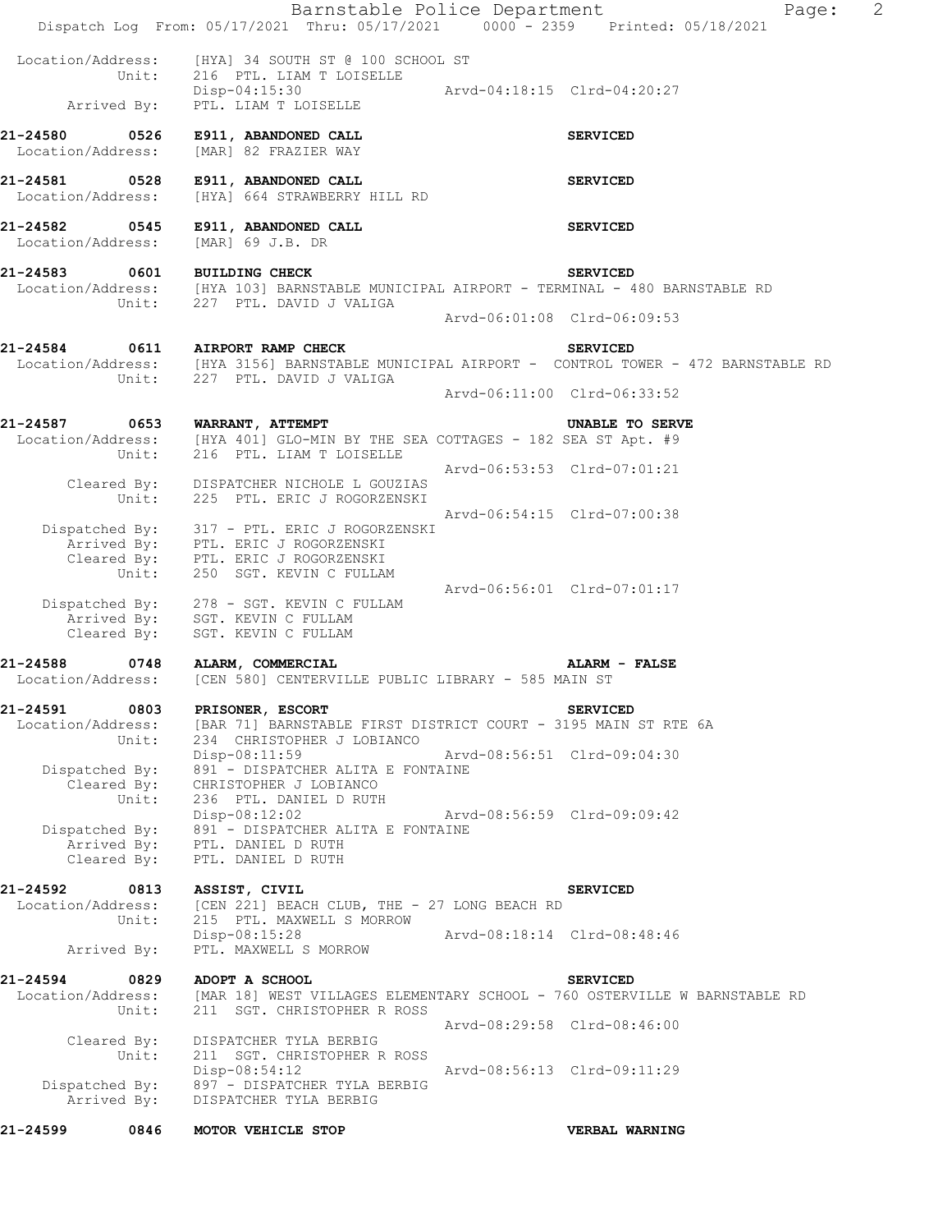| 21-24599                           | 0846          | MOTOR VEHICLE STOP                                                                                                                                                |                             | VERBAL WARNING                                                                                                                                    |   |
|------------------------------------|---------------|-------------------------------------------------------------------------------------------------------------------------------------------------------------------|-----------------------------|---------------------------------------------------------------------------------------------------------------------------------------------------|---|
| Arrived By:                        |               | Dispatched By: 897 - DISPATCHER TYLA BERBIG<br>DISPATCHER TYLA BERBIG                                                                                             |                             |                                                                                                                                                   |   |
| Cleared By:                        | Unit:         | DISPATCHER TYLA BERBIG<br>211 SGT. CHRISTOPHER R ROSS<br>Disp-08:54:12                                                                                            |                             | Arvd-08:29:58 Clrd-08:46:00<br>Arvd-08:56:13 Clrd-09:11:29                                                                                        |   |
| 21-24594<br>Location/Address:      | 0829<br>Unit: | ADOPT A SCHOOL<br>[MAR 18] WEST VILLAGES ELEMENTARY SCHOOL - 760 OSTERVILLE W BARNSTABLE RD<br>211 SGT. CHRISTOPHER R ROSS                                        |                             | <b>SERVICED</b>                                                                                                                                   |   |
| Arrived By:                        |               | Disp-08:15:28<br>PTL. MAXWELL S MORROW                                                                                                                            | Arvd-08:18:14 Clrd-08:48:46 |                                                                                                                                                   |   |
| 21-24592<br>Location/Address:      | 0813<br>Unit: | ASSIST, CIVIL<br>[CEN 221] BEACH CLUB, THE - 27 LONG BEACH RD<br>215 PTL. MAXWELL S MORROW                                                                        |                             | <b>SERVICED</b>                                                                                                                                   |   |
| Dispatched By:<br>Cleared By:      |               | 891 - DISPATCHER ALITA E FONTAINE<br>Arrived By: PTL. DANIEL D RUTH<br>PTL. DANIEL D RUTH                                                                         |                             |                                                                                                                                                   |   |
| Cleared By:                        | Unit:         | CHRISTOPHER J LOBIANCO<br>236 PTL. DANIEL D RUTH<br>$Disp-08:12:02$                                                                                               | Arvd-08:56:59 Clrd-09:09:42 |                                                                                                                                                   |   |
| Dispatched By:                     | Unit:         | 234 CHRISTOPHER J LOBIANCO<br>Disp-08:11:59<br>891 - DISPATCHER ALITA E FONTAINE                                                                                  | Arvd-08:56:51 Clrd-09:04:30 |                                                                                                                                                   |   |
| 21-24591                           | 0803          | PRISONER, ESCORT<br>Location/Address: [BAR 71] BARNSTABLE FIRST DISTRICT COURT - 3195 MAIN ST RTE 6A                                                              |                             | <b>SERVICED</b>                                                                                                                                   |   |
|                                    |               | 21-24588 0748 ALARM, COMMERCIAL<br>Location/Address: [CEN 580] CENTERVILLE PUBLIC LIBRARY - 585 MAIN ST                                                           |                             | <b>ALARM - FALSE</b>                                                                                                                              |   |
|                                    |               | Dispatched By: 278 - SGT. KEVIN C FULLAM<br>Arrived By: SGT. KEVIN C FULLAM<br>Cleared By: SGT. KEVIN C FULLAM                                                    |                             |                                                                                                                                                   |   |
|                                    |               | Arrived By: PTL. ERIC J ROGORZENSKI<br>Cleared By: PTL. ERIC J ROGORZENSKI<br>Unit: 250 SGT. KEVIN C FULLAM                                                       |                             | Arvd-06:56:01 Clrd-07:01:17                                                                                                                       |   |
|                                    |               | Dispatched By: 317 - PTL. ERIC J ROGORZENSKI                                                                                                                      |                             | Arvd-06:54:15 Clrd-07:00:38                                                                                                                       |   |
|                                    |               | Cleared By: DISPATCHER NICHOLE L GOUZIAS<br>Unit: 225 PTL. ERIC J ROGORZENSKI                                                                                     |                             | Arvd-06:53:53 Clrd-07:01:21                                                                                                                       |   |
|                                    |               | 21-24587 0653 WARRANT, ATTEMPT<br>Location/Address: [HYA 401] GLO-MIN BY THE SEA COTTAGES - 182 SEA ST Apt. #9<br>Unit: 216 PTL. LIAM T LOISELLE                  |                             | UNABLE TO SERVE                                                                                                                                   |   |
|                                    |               |                                                                                                                                                                   |                             | Arvd-06:11:00 Clrd-06:33:52                                                                                                                       |   |
|                                    |               | 21-24584 0611 AIRPORT RAMP CHECK                                                                                                                                  |                             | <b>SERVICED</b><br>Location/Address: [HYA 3156] BARNSTABLE MUNICIPAL AIRPORT - CONTROL TOWER - 472 BARNSTABLE RD<br>Unit: 227 PTL. DAVID J VALIGA |   |
|                                    |               |                                                                                                                                                                   |                             | Arvd-06:01:08 Clrd-06:09:53                                                                                                                       |   |
|                                    |               | 21-24583 0601 BUILDING CHECK SERVICED<br>Location/Address: [HYA 103] BARNSTABLE MUNICIPAL AIRPORT - TERMINAL - 480 BARNSTABLE RD<br>Unit: 227 PTL. DAVID J VALIGA |                             |                                                                                                                                                   |   |
|                                    |               | 21-24582 0545 E911, ABANDONED CALL<br>Location/Address: [MAR] 69 J.B. DR                                                                                          |                             | <b>SERVICED</b>                                                                                                                                   |   |
| Location/Address:                  |               | 21-24581 0528 E911, ABANDONED CALL<br>[HYA] 664 STRAWBERRY HILL RD                                                                                                |                             | <b>SERVICED</b>                                                                                                                                   |   |
| 21-24580 0526<br>Location/Address: |               | E911, ABANDONED CALL<br>[MAR] 82 FRAZIER WAY                                                                                                                      |                             | <b>SERVICED</b>                                                                                                                                   |   |
|                                    |               | Location/Address: [HYA] 34 SOUTH ST @ 100 SCHOOL ST<br>Unit: 216 PTL. LIAM T LOISELLE<br>Disp-04:15:30<br>Arrived By: PTL. LIAM T LOISELLE                        | Arvd-04:18:15 Clrd-04:20:27 |                                                                                                                                                   |   |
|                                    |               | Dispatch Log From: 05/17/2021 Thru: 05/17/2021 0000 - 2359 Printed: 05/18/2021                                                                                    |                             |                                                                                                                                                   |   |
|                                    |               | Barnstable Police Department                                                                                                                                      |                             | Page:                                                                                                                                             | 2 |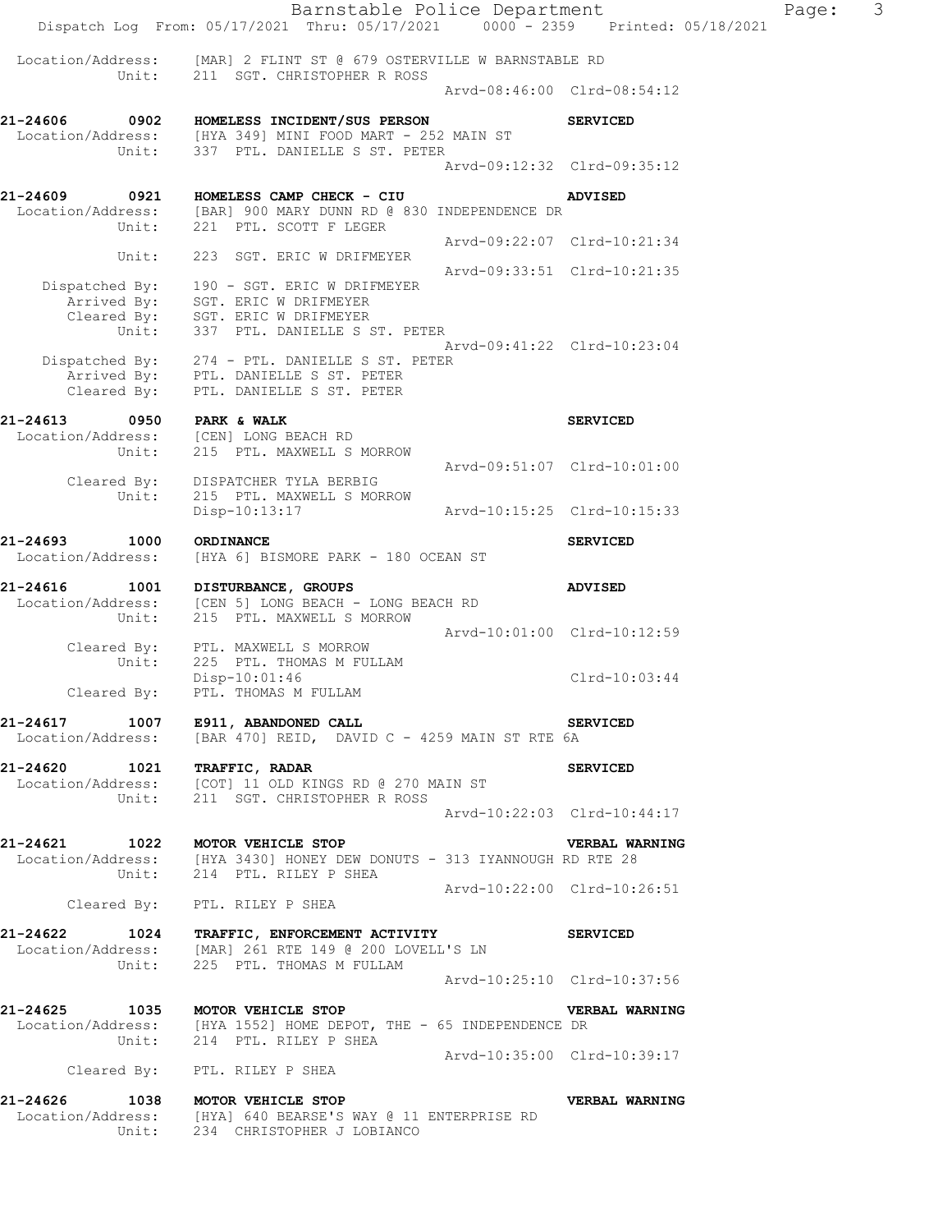Barnstable Police Department Page: 3 Dispatch Log From: 05/17/2021 Thru: 05/17/2021 0000 - 2359 Printed: 05/18/2021 Location/Address: [MAR] 2 FLINT ST @ 679 OSTERVILLE W BARNSTABLE RD Unit: 211 SGT. CHRISTOPHER R ROSS Arvd-08:46:00 Clrd-08:54:12 **21-24606 0902 HOMELESS INCIDENT/SUS PERSON SERVICED**  Location/Address: [HYA 349] MINI FOOD MART - 252 MAIN ST Unit: 337 PTL. DANIELLE S ST. PETER Arvd-09:12:32 Clrd-09:35:12 **21-24609 0921 HOMELESS CAMP CHECK - CIU ADVISED**  Location/Address: [BAR] 900 MARY DUNN RD @ 830 INDEPENDENCE DR Unit: 221 PTL. SCOTT F LEGER Arvd-09:22:07 Clrd-10:21:34 Unit: 223 SGT. ERIC W DRIFMEYER Arvd-09:33:51 Clrd-10:21:35 Dispatched By: 190 - SGT. ERIC W DRIFMEYER .<br>Arrived By: SGT. ERIC W DRIFMEYER Cleared By: SGT. ERIC W DRIFMEYER Unit: 337 PTL. DANIELLE S ST. PETER Arvd-09:41:22 Clrd-10:23:04 Dispatched By: 274 - PTL. DANIELLE S ST. PETER .<br>Arrived By: PTL. DANIELLE S ST. PETER Cleared By: PTL. DANIELLE S ST. PETER **21-24613** 0950 PARK & WALK **DERVICED**  Location/Address: [CEN] LONG BEACH RD Unit: 215 PTL. MAXWELL S MORROW 215 PTL. MAXWELL S MORROW<br>Arvd-09:51:07 Clrd-10:01:00 Cleared By: DISPATCHER TYLA BERBIG Unit: 215 PTL. MAXWELL S MORROW Disp-10:13:17 Arvd-10:15:25 Clrd-10:15:33 **21-24693 1000 ORDINANCE SERVICED**  Location/Address: [HYA 6] BISMORE PARK - 180 OCEAN ST **21-24616 1001 DISTURBANCE, GROUPS ADVISED**  Location/Address: [CEN 5] LONG BEACH - LONG BEACH RD Unit: 215 PTL. MAXWELL S MORROW Arvd-10:01:00 Clrd-10:12:59 Cleared By: PTL. MAXWELL S MORROW Unit: 225 PTL. THOMAS M FULLAM Disp-10:01:46 Clrd-10:03:44 Cleared By: PTL. THOMAS M FULLAM **21-24617 1007 E911, ABANDONED CALL SERVICED**  Location/Address: [BAR 470] REID, DAVID C - 4259 MAIN ST RTE 6A **21-24620 1021 TRAFFIC, RADAR SERVICED**  Location/Address: [COT] 11 OLD KINGS RD @ 270 MAIN ST Unit: 211 SGT. CHRISTOPHER R ROSS Arvd-10:22:03 Clrd-10:44:17 **21-24621 1022 MOTOR VEHICLE STOP VERBAL WARNING**  Location/Address: [HYA 3430] HONEY DEW DONUTS - 313 IYANNOUGH RD RTE 28 Unit: 214 PTL. RILEY P SHEA Arvd-10:22:00 Clrd-10:26:51 Cleared By: PTL. RILEY P SHEA **21-24622 1024 TRAFFIC, ENFORCEMENT ACTIVITY SERVICED**  Location/Address: [MAR] 261 RTE 149 @ 200 LOVELL'S LN Unit: 225 PTL. THOMAS M FULLAM Arvd-10:25:10 Clrd-10:37:56 **21-24625 1035 MOTOR VEHICLE STOP VERBAL WARNING**  Location/Address: [HYA 1552] HOME DEPOT, THE - 65 INDEPENDENCE DR Unit: 214 PTL. RILEY P SHEA Arvd-10:35:00 Clrd-10:39:17 Cleared By: PTL. RILEY P SHEA **21-24626 1038 MOTOR VEHICLE STOP VERBAL WARNING**  Location/Address: [HYA] 640 BEARSE'S WAY @ 11 ENTERPRISE RD Unit: 234 CHRISTOPHER J LOBIANCO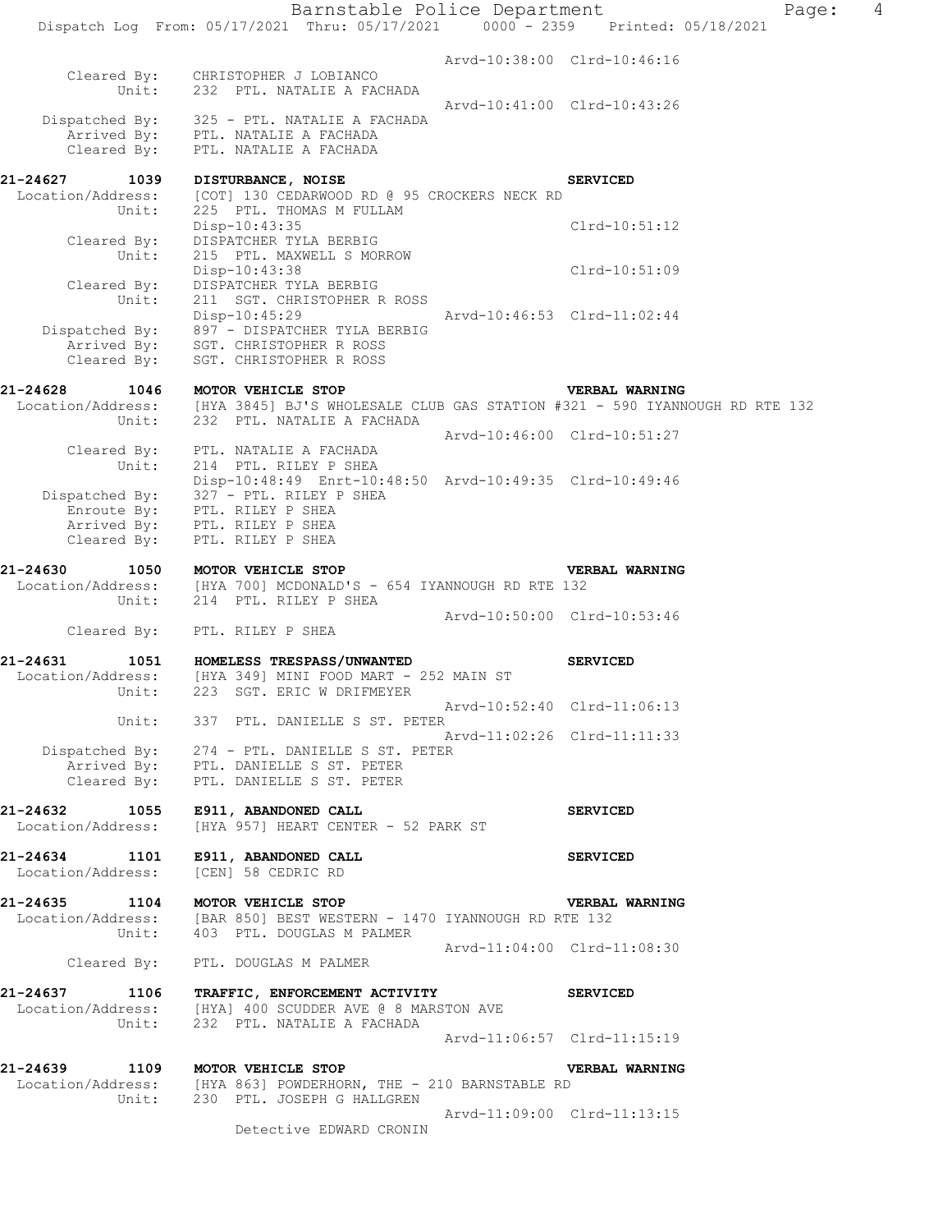|                                                | Barnstable Police Department                                                                                                                          |                             |                             | Page: | $\overline{4}$ |
|------------------------------------------------|-------------------------------------------------------------------------------------------------------------------------------------------------------|-----------------------------|-----------------------------|-------|----------------|
|                                                | Dispatch Log From: 05/17/2021 Thru: 05/17/2021 0000 - 2359 Printed: 05/18/2021                                                                        |                             |                             |       |                |
|                                                | Cleared By: CHRISTOPHER J LOBIANCO<br>Unit: 232 PTL. NATALIE A FACHADA                                                                                |                             | Arvd-10:38:00 Clrd-10:46:16 |       |                |
| Cleared By:                                    | Dispatched By: 325 - PTL. NATALIE A FACHADA<br>Arrived By: PTL. NATALIE A FACHADA<br>PTL. NATALIE A FACHADA                                           |                             | Arvd-10:41:00 Clrd-10:43:26 |       |                |
|                                                |                                                                                                                                                       |                             |                             |       |                |
| 21-24627<br>1039<br>Location/Address:<br>Unit: | DISTURBANCE, NOISE<br>[COT] 130 CEDARWOOD RD @ 95 CROCKERS NECK RD<br>225 PTL. THOMAS M FULLAM                                                        |                             | <b>SERVICED</b>             |       |                |
| Cleared By:<br>Unit:                           | $Disp-10:43:35$<br>DISPATCHER TYLA BERBIG<br>215 PTL. MAXWELL S MORROW                                                                                |                             | $Clrd-10:51:12$             |       |                |
| Cleared By:                                    | Disp-10:43:38<br>DISPATCHER TYLA BERBIG                                                                                                               |                             | Clrd-10:51:09               |       |                |
| Unit:                                          | 211 SGT. CHRISTOPHER R ROSS<br>Disp-10:45:29<br>Dispatched By: 897 - DISPATCHER TYLA BERBIG                                                           |                             | Arvd-10:46:53 Clrd-11:02:44 |       |                |
| Cleared By:                                    | Arrived By: SGT. CHRISTOPHER R ROSS<br>SGT. CHRISTOPHER R ROSS                                                                                        |                             |                             |       |                |
| 21-24628<br>Unit:                              | 1046 MOTOR VEHICLE STOP<br>Location/Address: [HYA 3845] BJ'S WHOLESALE CLUB GAS STATION #321 - 590 IYANNOUGH RD RTE 132<br>232 PTL. NATALIE A FACHADA |                             | <b>VERBAL WARNING</b>       |       |                |
| Unit:                                          | Cleared By: PTL. NATALIE A FACHADA<br>214 PTL. RILEY P SHEA                                                                                           |                             | Arvd-10:46:00 Clrd-10:51:27 |       |                |
|                                                | Disp-10:48:49 Enrt-10:48:50 Arvd-10:49:35 Clrd-10:49:46<br>Dispatched By: 327 - PTL. RILEY P SHEA                                                     |                             |                             |       |                |
| Cleared By:                                    | Enroute By: PTL. RILEY P SHEA<br>Arrived By: PTL. RILEY P SHEA<br>PTL. RILEY P SHEA                                                                   |                             |                             |       |                |
| 21-24630<br>1050                               | MOTOR VEHICLE STOP<br>Location/Address: [HYA 700] MCDONALD'S - 654 IYANNOUGH RD RTE 132                                                               |                             | VERBAL WARNING              |       |                |
| Unit:                                          | 214 PTL. RILEY P SHEA                                                                                                                                 |                             | Arvd-10:50:00 Clrd-10:53:46 |       |                |
|                                                | Cleared By: PTL. RILEY P SHEA                                                                                                                         |                             |                             |       |                |
| 21-24631<br>Location/Address:                  | 1051 HOMELESS TRESPASS/UNWANTED<br>[HYA 349] MINI FOOD MART - 252 MAIN ST<br>Unit: 223 SGT. ERIC W DRIFMEYER                                          |                             | <b>SERVICED</b>             |       |                |
|                                                | Unit: 337 PTL. DANIELLE S ST. PETER                                                                                                                   |                             | Arvd-10:52:40 Clrd-11:06:13 |       |                |
|                                                | Dispatched By: 274 - PTL. DANIELLE S ST. PETER<br>Arrived By: PTL. DANIELLE S ST. PETER                                                               |                             | Arvd-11:02:26 Clrd-11:11:33 |       |                |
|                                                | Cleared By: PTL. DANIELLE S ST. PETER                                                                                                                 |                             |                             |       |                |
| Location/Address:                              | 21-24632 1055 E911, ABANDONED CALL<br>[HYA 957] HEART CENTER - 52 PARK ST                                                                             |                             | <b>SERVICED</b>             |       |                |
| Location/Address:                              | 21-24634 1101 E911, ABANDONED CALL<br>[CEN] 58 CEDRIC RD                                                                                              |                             | <b>SERVICED</b>             |       |                |
| 21-24635 1104 MOTOR VEHICLE STOP               | Location/Address: [BAR 850] BEST WESTERN - 1470 IYANNOUGH RD RTE 132<br>Unit: 403 PTL. DOUGLAS M PALMER                                               |                             | <b>VERBAL WARNING</b>       |       |                |
|                                                | Cleared By: PTL. DOUGLAS M PALMER                                                                                                                     | Arvd-11:04:00 Clrd-11:08:30 |                             |       |                |
|                                                | 21-24637 1106 TRAFFIC, ENFORCEMENT ACTIVITY<br>Location/Address: [HYA] 400 SCUDDER AVE @ 8 MARSTON AVE                                                |                             | <b>SERVICED</b>             |       |                |
|                                                | Unit: 232 PTL. NATALIE A FACHADA                                                                                                                      |                             | Arvd-11:06:57 Clrd-11:15:19 |       |                |
|                                                | 21-24639 1109 MOTOR VEHICLE STOP                                                                                                                      |                             | <b>VERBAL WARNING</b>       |       |                |
|                                                | Location/Address: [HYA 863] POWDERHORN, THE - 210 BARNSTABLE RD<br>Unit: 230 PTL. JOSEPH G HALLGREN                                                   |                             |                             |       |                |
|                                                | Detective EDWARD CRONIN                                                                                                                               |                             | Arvd-11:09:00 Clrd-11:13:15 |       |                |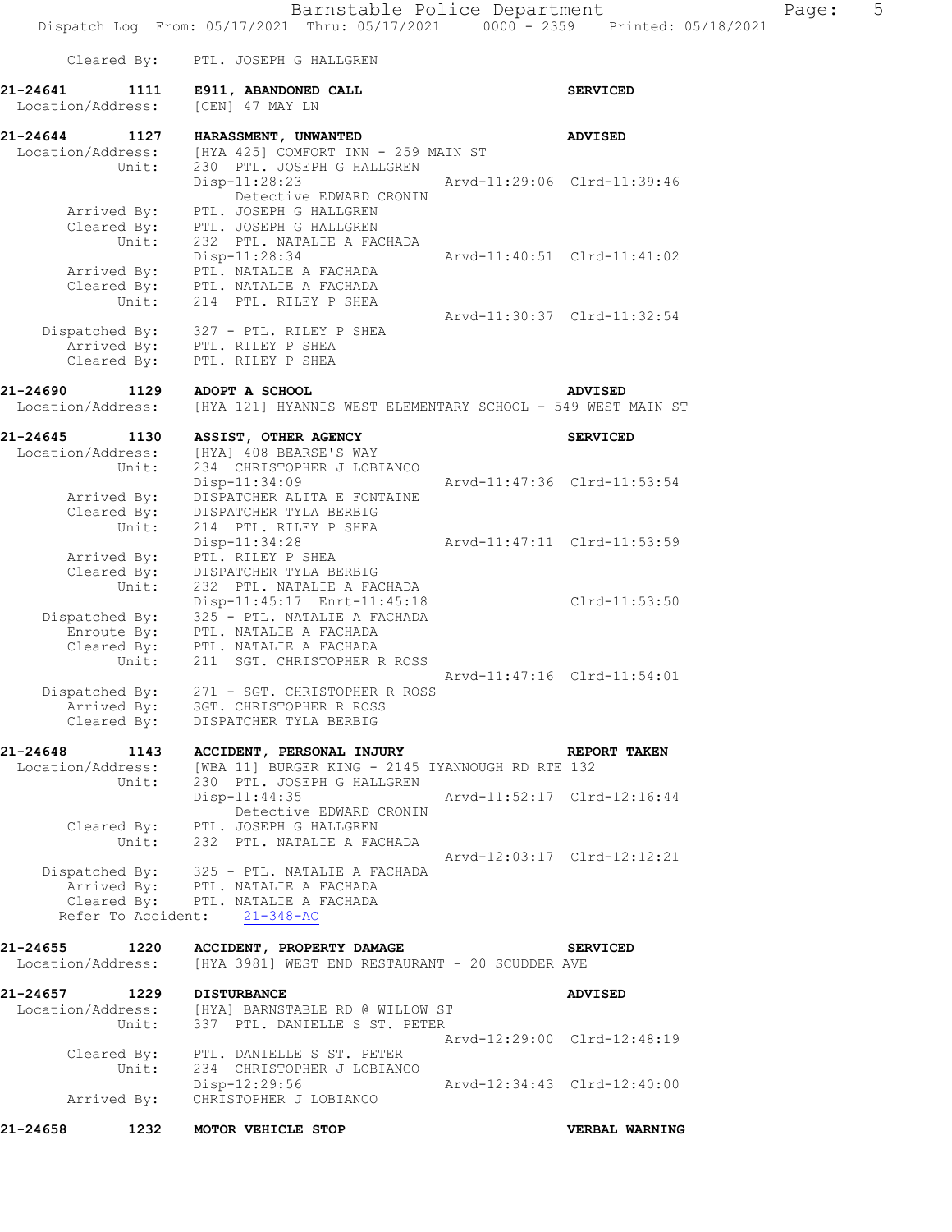Cleared By: PTL. JOSEPH G HALLGREN

**21-24641 1111** E911, ABANDONED CALL Location/Address: [CEN] 47 MAY LN

|      |                 | $0000 - 2359$ Printed: $05/18/2021$ |  |
|------|-----------------|-------------------------------------|--|
|      | <b>SERVICED</b> |                                     |  |
| N ST | <b>ADVISED</b>  |                                     |  |
|      |                 |                                     |  |

**21-24644 1127 HARASSMENT, UNWANTED ADVISED**  Location/Address: [HYA 425] COMFORT INN - 259 MAIN ST Unit: 230 PTL. JOSEPH G HALLGREN Disp-11:28:23 Arvd-11:29:06 Clrd-11:39:46 **Detective EDWARD CRONIN**  Arrived By: PTL. JOSEPH G HALLGREN Cleared By: PTL. JOSEPH G HALLGREN Unit: 232 PTL. NATALIE A FACHADA Disp-11:28:34 Arvd-11:40:51 Clrd-11:41:02 Arrived By: PTL. NATALIE A FACHADA Cleared By: PTL. NATALIE A FACHADA Unit: 214 PTL. RILEY P SHEA Arvd-11:30:37 Clrd-11:32:54 Dispatched By: 327 - PTL. RILEY P SHEA .<br>Arrived By: PTL. RILEY P SHEA Cleared By: PTL. RILEY P SHEA **21-24690 1129 ADOPT A SCHOOL ADVISED**  Location/Address: [HYA 121] HYANNIS WEST ELEMENTARY SCHOOL - 549 WEST MAIN ST **21-24645 1130 ASSIST, OTHER AGENCY SERVICED**  Location/Address: [HYA] 408 BEARSE'S WAY Unit: 234 CHRISTOPHER J LOBIANCO Disp-11:34:09 Arvd-11:47:36 Clrd-11:53:54 Arrived By: DISPATCHER ALITA E FONTAINE Cleared By: DISPATCHER TYLA BERBIG Unit: 214 PTL. RILEY P SHEA Disp-11:34:28 Arvd-11:47:11 Clrd-11:53:59 Arrived By: PTL. RILEY P SHEA Cleared By: DISPATCHER TYLA BERBIG Unit: 232 PTL. NATALIE A FACHADA Disp-11:45:17 Enrt-11:45:18 Clrd-11:53:50 Dispatched By: 325 - PTL. NATALIE A FACHADA .<br>Enroute By: PTL. NATALIE A FACHADA Cleared By: PTL. NATALIE A FACHADA Unit: 211 SGT. CHRISTOPHER R ROSS Arvd-11:47:16 Clrd-11:54:01 Dispatched By: 271 - SGT. CHRISTOPHER R ROSS .<br>Arrived By: SGT. CHRISTOPHER R ROSS Cleared By: DISPATCHER TYLA BERBIG **21-24648 1143 ACCIDENT, PERSONAL INJURY REPORT TAKEN**  Location/Address: [WBA 11] BURGER KING - 2145 IYANNOUGH RD RTE 132 Unit: 230 PTL. JOSEPH G HALLGREN Disp-11:44:35 Arvd-11:52:17 Clrd-12:16:44 **Detective EDWARD CRONIN**  Cleared By: PTL. JOSEPH G HALLGREN Unit: 232 PTL. NATALIE A FACHADA Arvd-12:03:17 Clrd-12:12:21 Dispatched By: 325 - PTL. NATALIE A FACHADA .<br>Arrived By: PTL. NATALIE A FACHADA Cleared By: PTL. NATALIE A FACHADA Refer To Accident: 21-348-AC **21-24655 1220 ACCIDENT, PROPERTY DAMAGE SERVICED**  Location/Address: [HYA 3981] WEST END RESTAURANT - 20 SCUDDER AVE **21-24657 1229 DISTURBANCE ADVISED**  Location/Address: [HYA] BARNSTABLE RD @ WILLOW ST Unit: 337 PTL. DANIELLE S ST. PETER Arvd-12:29:00 Clrd-12:48:19 Cleared By: PTL. DANIELLE S ST. PETER Unit: 234 CHRISTOPHER J LOBIANCO Disp-12:29:56 Arvd-12:34:43 Clrd-12:40:00 Arrived By: CHRISTOPHER J LOBIANCO

**21-24658 1232 MOTOR VEHICLE STOP VERBAL WARNING**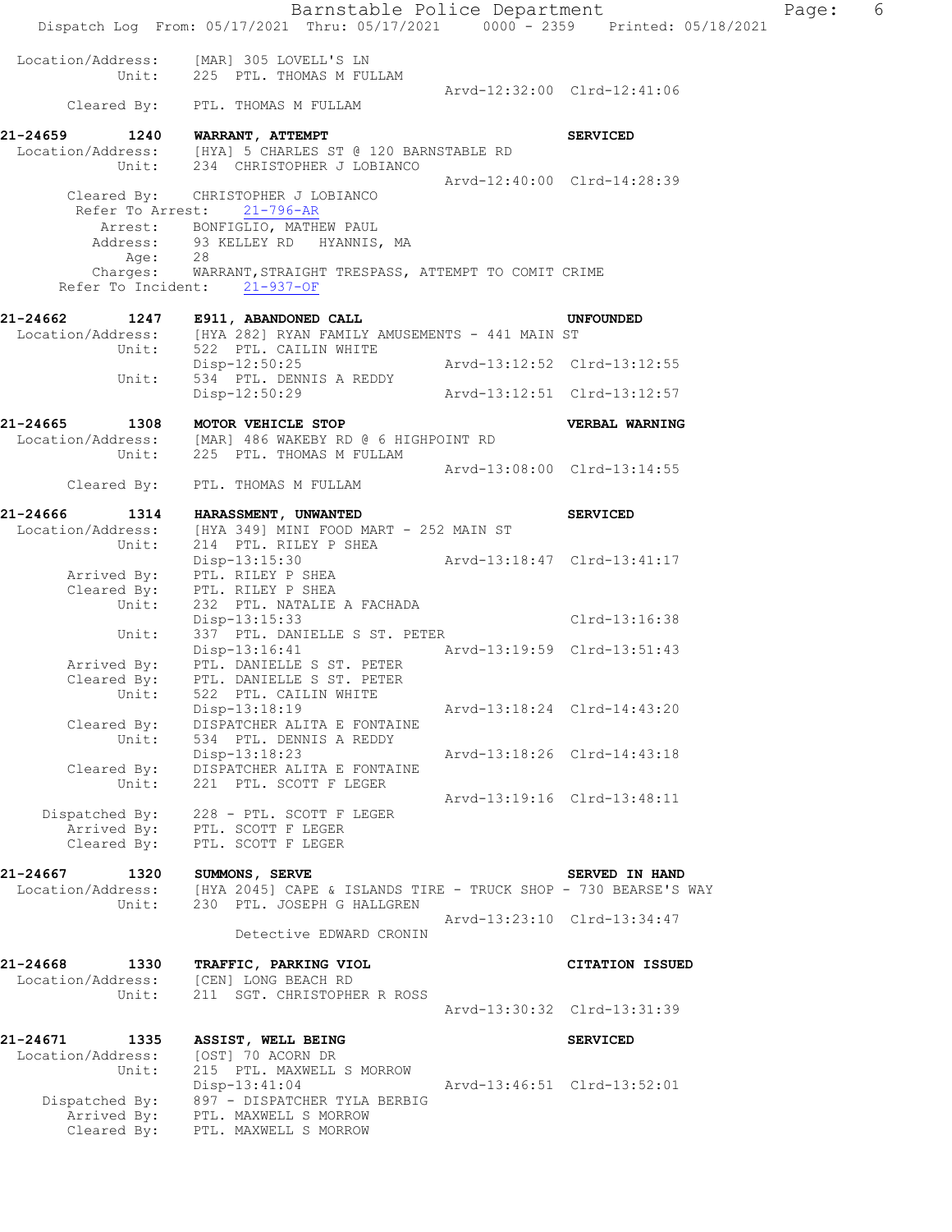|                                                | Barnstable Police Department<br>Dispatch Log From: 05/17/2021 Thru: 05/17/2021 0000 - 2359 Printed: 05/18/2021               |                             |                             | Page: | 6 |
|------------------------------------------------|------------------------------------------------------------------------------------------------------------------------------|-----------------------------|-----------------------------|-------|---|
|                                                | Location/Address: [MAR] 305 LOVELL'S LN<br>Unit: 225 PTL. THOMAS M FULLAM                                                    |                             |                             |       |   |
|                                                | Cleared By: PTL. THOMAS M FULLAM                                                                                             |                             | Arvd-12:32:00 Clrd-12:41:06 |       |   |
| 21-24659 1240 WARRANT, ATTEMPT                 | Location/Address: [HYA] 5 CHARLES ST @ 120 BARNSTABLE RD                                                                     |                             | <b>SERVICED</b>             |       |   |
|                                                | Unit: 234 CHRISTOPHER J LOBIANCO                                                                                             |                             | Arvd-12:40:00 Clrd-14:28:39 |       |   |
|                                                | Cleared By: CHRISTOPHER J LOBIANCO<br>Refer To Arrest: 21-796-AR<br>Arrest: BONFIGLIO, MATHEW PAUL                           |                             |                             |       |   |
| Age:                                           | Address: 93 KELLEY RD HYANNIS, MA<br>28                                                                                      |                             |                             |       |   |
|                                                | Charges: WARRANT, STRAIGHT TRESPASS, ATTEMPT TO COMIT CRIME<br>Refer To Incident: 21-937-OF                                  |                             |                             |       |   |
| 21-24662                                       | 1247 E911, ABANDONED CALL<br>Location/Address: [HYA 282] RYAN FAMILY AMUSEMENTS - 441 MAIN ST<br>Unit: 522 PTL. CAILIN WHITE |                             | UNFOUNDED                   |       |   |
| Unit:                                          | Disp-12:50:25<br>534 PTL. DENNIS A REDDY                                                                                     |                             |                             |       |   |
|                                                | Disp-12:50:29                                                                                                                | Arvd-13:12:51 Clrd-13:12:57 |                             |       |   |
| 21-24665                                       | 1308 MOTOR VEHICLE STOP                                                                                                      |                             | VERBAL WARNING              |       |   |
|                                                | Location/Address: [MAR] 486 WAKEBY RD @ 6 HIGHPOINT RD<br>Unit: 225 PTL. THOMAS M FULLAM                                     |                             |                             |       |   |
|                                                | Cleared By: PTL. THOMAS M FULLAM                                                                                             |                             | Arvd-13:08:00 Clrd-13:14:55 |       |   |
| 21-24666                                       | 1314 HARASSMENT, UNWANTED                                                                                                    |                             | <b>SERVICED</b>             |       |   |
| Location/Address:<br>Unit:                     | [HYA 349] MINI FOOD MART - 252 MAIN ST<br>214 PTL. RILEY P SHEA                                                              |                             |                             |       |   |
| Arrived By:<br>Cleared By:                     | $Disp-13:15:30$<br>PTL. RILEY P SHEA<br>PTL. RILEY P SHEA                                                                    | Arvd-13:18:47 Clrd-13:41:17 |                             |       |   |
| Unit:                                          | 232 PTL. NATALIE A FACHADA<br>$Disp-13:15:33$                                                                                |                             | Clrd-13:16:38               |       |   |
| Unit:                                          | 337 PTL. DANIELLE S ST. PETER                                                                                                |                             |                             |       |   |
| Arrived By:<br>Cleared By:                     | Disp-13:16:41 Arvd-13:19:59 Clrd-13:51:43<br>PTL. DANIELLE S ST. PETER<br>PTL. DANIELLE S ST. PETER                          |                             |                             |       |   |
| Unit:<br>Cleared By:<br>Unit:                  | 522 PTL. CAILIN WHITE<br>Disp-13:18:19<br>DISPATCHER ALITA E FONTAINE<br>534 PTL. DENNIS A REDDY                             |                             | Arvd-13:18:24 Clrd-14:43:20 |       |   |
| Cleared By:<br>Unit:                           | Disp-13:18:23<br>DISPATCHER ALITA E FONTAINE<br>221 PTL. SCOTT F LEGER                                                       |                             | Arvd-13:18:26 Clrd-14:43:18 |       |   |
| Arrived By:<br>Cleared By:                     | Dispatched By: 228 - PTL. SCOTT F LEGER<br>PTL. SCOTT F LEGER<br>PTL. SCOTT F LEGER                                          |                             | Arvd-13:19:16 Clrd-13:48:11 |       |   |
|                                                |                                                                                                                              |                             |                             |       |   |
| 21-24667 1320<br>Location/Address:<br>Unit:    | SUMMONS, SERVE<br>[HYA 2045] CAPE & ISLANDS TIRE - TRUCK SHOP - 730 BEARSE'S WAY<br>230 PTL. JOSEPH G HALLGREN               |                             | SERVED IN HAND              |       |   |
|                                                | Detective EDWARD CRONIN                                                                                                      |                             | Arvd-13:23:10 Clrd-13:34:47 |       |   |
| 21-24668<br>1330<br>Location/Address:<br>Unit: | TRAFFIC, PARKING VIOL<br>[CEN] LONG BEACH RD<br>211 SGT. CHRISTOPHER R ROSS                                                  |                             | <b>CITATION ISSUED</b>      |       |   |
|                                                |                                                                                                                              |                             | Arvd-13:30:32 Clrd-13:31:39 |       |   |
| 21-24671<br>1335<br>Location/Address:          | ASSIST, WELL BEING<br>[OST] 70 ACORN DR                                                                                      |                             | <b>SERVICED</b>             |       |   |
| Unit:<br>Arrived By:                           | 215 PTL. MAXWELL S MORROW<br>Disp-13:41:04<br>Dispatched By: 897 - DISPATCHER TYLA BERBIG<br>PTL. MAXWELL S MORROW           |                             | Arvd-13:46:51 Clrd-13:52:01 |       |   |
| Cleared By:                                    | PTL. MAXWELL S MORROW                                                                                                        |                             |                             |       |   |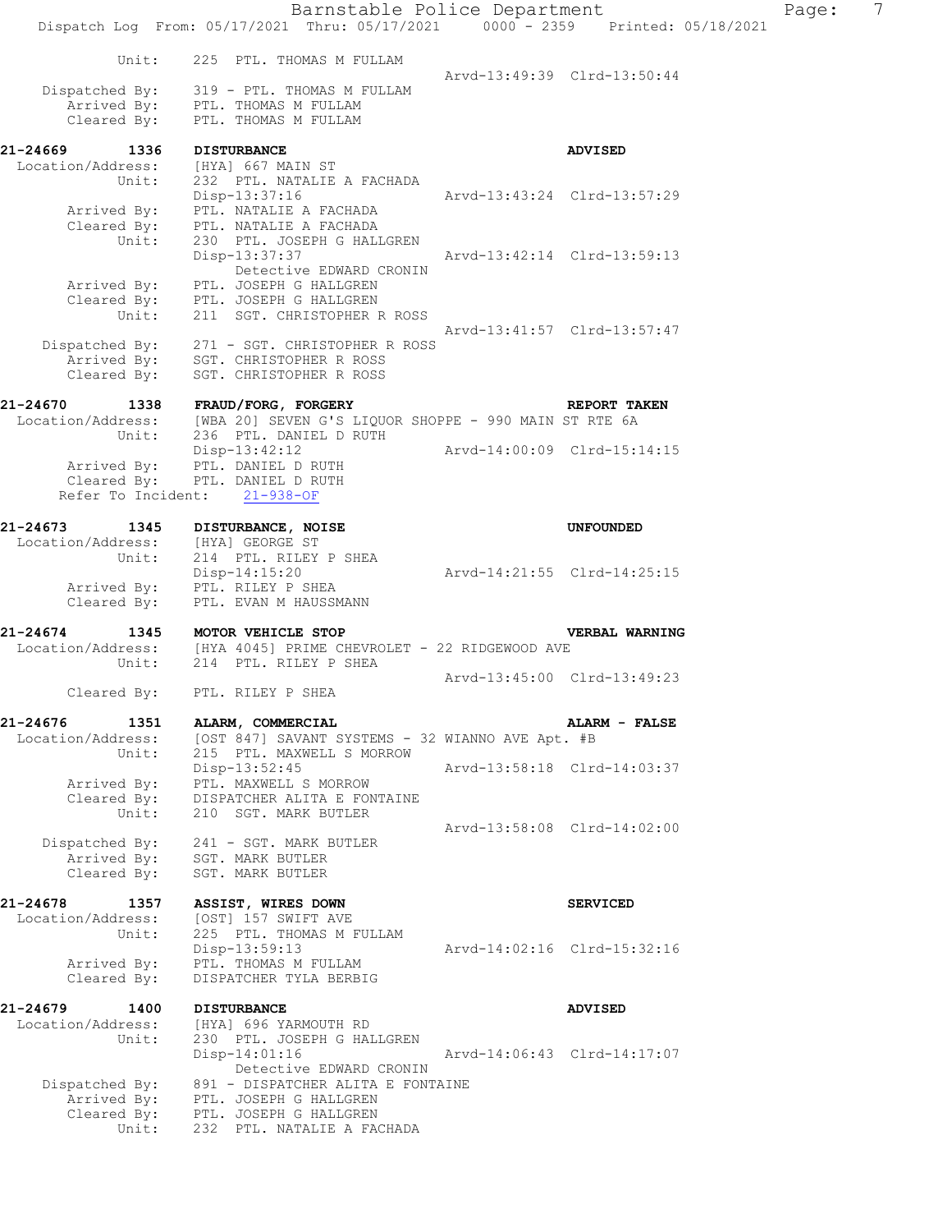|                                       | Barnstable Police Department<br>Dispatch Log From: 05/17/2021 Thru: 05/17/2021 0000 - 2359 Printed: 05/18/2021 |                             |                             | Page: | $\overline{7}$ |
|---------------------------------------|----------------------------------------------------------------------------------------------------------------|-----------------------------|-----------------------------|-------|----------------|
|                                       |                                                                                                                |                             |                             |       |                |
| Unit:                                 | 225 PTL. THOMAS M FULLAM                                                                                       |                             | Arvd-13:49:39 Clrd-13:50:44 |       |                |
|                                       | Dispatched By: 319 - PTL. THOMAS M FULLAM                                                                      |                             |                             |       |                |
| Cleared By:                           | Arrived By: PTL. THOMAS M FULLAM<br>PTL. THOMAS M FULLAM                                                       |                             |                             |       |                |
| 21-24669<br>1336                      | <b>DISTURBANCE</b>                                                                                             |                             | <b>ADVISED</b>              |       |                |
| Location/Address:                     | [HYA] 667 MAIN ST                                                                                              |                             |                             |       |                |
| Unit:                                 | 232 PTL. NATALIE A FACHADA<br>Disp-13:37:16                                                                    | Arvd-13:43:24 Clrd-13:57:29 |                             |       |                |
| Arrived By:                           | PTL. NATALIE A FACHADA                                                                                         |                             |                             |       |                |
| Unit:                                 | Cleared By: PTL. NATALIE A FACHADA<br>230 PTL. JOSEPH G HALLGREN                                               |                             |                             |       |                |
|                                       | Disp-13:37:37                                                                                                  |                             | Arvd-13:42:14 Clrd-13:59:13 |       |                |
| Arrived By:                           | Detective EDWARD CRONIN<br>PTL. JOSEPH G HALLGREN                                                              |                             |                             |       |                |
| Unit:                                 | Cleared By: PTL. JOSEPH G HALLGREN<br>211 SGT. CHRISTOPHER R ROSS                                              |                             |                             |       |                |
|                                       |                                                                                                                |                             | Arvd-13:41:57 Clrd-13:57:47 |       |                |
| Arrived By:                           | Dispatched By: 271 - SGT. CHRISTOPHER R ROSS<br>SGT. CHRISTOPHER R ROSS                                        |                             |                             |       |                |
| Cleared By:                           | SGT. CHRISTOPHER R ROSS                                                                                        |                             |                             |       |                |
| 21-24670                              | 1338 FRAUD/FORG, FORGERY                                                                                       |                             | <b>REPORT TAKEN</b>         |       |                |
| Unit:                                 | Location/Address: [WBA 20] SEVEN G'S LIQUOR SHOPPE - 990 MAIN ST RTE 6A<br>236 PTL. DANIEL D RUTH              |                             |                             |       |                |
|                                       | Disp-13:42:12                                                                                                  | Arvd-14:00:09 Clrd-15:14:15 |                             |       |                |
|                                       | Arrived By: PTL. DANIEL D RUTH<br>Cleared By: PTL. DANIEL D RUTH                                               |                             |                             |       |                |
|                                       | Refer To Incident: 21-938-OF                                                                                   |                             |                             |       |                |
| 21-24673<br>1345                      | DISTURBANCE, NOISE                                                                                             |                             | <b>UNFOUNDED</b>            |       |                |
| Location/Address:<br>Unit:            | [HYA] GEORGE ST<br>214 PTL. RILEY P SHEA                                                                       |                             |                             |       |                |
|                                       | $Disp-14:15:20$                                                                                                | Arvd-14:21:55 Clrd-14:25:15 |                             |       |                |
| Arrived By:<br>Cleared By:            | PTL. RILEY P SHEA<br>PTL. EVAN M HAUSSMANN                                                                     |                             |                             |       |                |
| 21-24674                              | 1345 MOTOR VEHICLE STOP                                                                                        |                             | <b>VERBAL WARNING</b>       |       |                |
|                                       | Location/Address: [HYA 4045] PRIME CHEVROLET - 22 RIDGEWOOD AVE                                                |                             |                             |       |                |
| Unit:                                 | 214 PTL. RILEY P SHEA                                                                                          |                             | Arvd-13:45:00 Clrd-13:49:23 |       |                |
| Cleared By:                           | PTL. RILEY P SHEA                                                                                              |                             |                             |       |                |
| 21-24676 1351                         | ALARM, COMMERCIAL                                                                                              |                             | ALARM - FALSE               |       |                |
| Location/Address:<br>Unit:            | [OST 847] SAVANT SYSTEMS - 32 WIANNO AVE Apt. #B<br>215 PTL. MAXWELL S MORROW                                  |                             |                             |       |                |
| Arrived By:                           | Disp-13:52:45<br>PTL. MAXWELL S MORROW                                                                         |                             | Arvd-13:58:18 Clrd-14:03:37 |       |                |
| Cleared By:                           | DISPATCHER ALITA E FONTAINE                                                                                    |                             |                             |       |                |
| Unit:                                 | 210 SGT. MARK BUTLER                                                                                           |                             | Arvd-13:58:08 Clrd-14:02:00 |       |                |
| Dispatched By:<br>Arrived By:         | 241 - SGT. MARK BUTLER                                                                                         |                             |                             |       |                |
| Cleared By:                           | SGT. MARK BUTLER<br>SGT. MARK BUTLER                                                                           |                             |                             |       |                |
| 21-24678<br>1357                      | ASSIST, WIRES DOWN                                                                                             |                             | <b>SERVICED</b>             |       |                |
| Location/Address:                     | [OST] 157 SWIFT AVE                                                                                            |                             |                             |       |                |
| Unit:                                 | 225 PTL. THOMAS M FULLAM<br>Disp-13:59:13                                                                      |                             | Arvd-14:02:16 Clrd-15:32:16 |       |                |
| Arrived By:<br>Cleared By:            | PTL. THOMAS M FULLAM<br>DISPATCHER TYLA BERBIG                                                                 |                             |                             |       |                |
|                                       |                                                                                                                |                             |                             |       |                |
| 21-24679<br>1400<br>Location/Address: | <b>DISTURBANCE</b><br>[HYA] 696 YARMOUTH RD                                                                    |                             | <b>ADVISED</b>              |       |                |
| Unit:                                 | 230 PTL. JOSEPH G HALLGREN<br>$Disp-14:01:16$                                                                  |                             | Arvd-14:06:43 Clrd-14:17:07 |       |                |
|                                       | Detective EDWARD CRONIN                                                                                        |                             |                             |       |                |
| Dispatched By:<br>Arrived By:         | 891 - DISPATCHER ALITA E FONTAINE<br>PTL. JOSEPH G HALLGREN                                                    |                             |                             |       |                |
| Cleared By:                           | PTL. JOSEPH G HALLGREN                                                                                         |                             |                             |       |                |
| Unit:                                 | 232 PTL. NATALIE A FACHADA                                                                                     |                             |                             |       |                |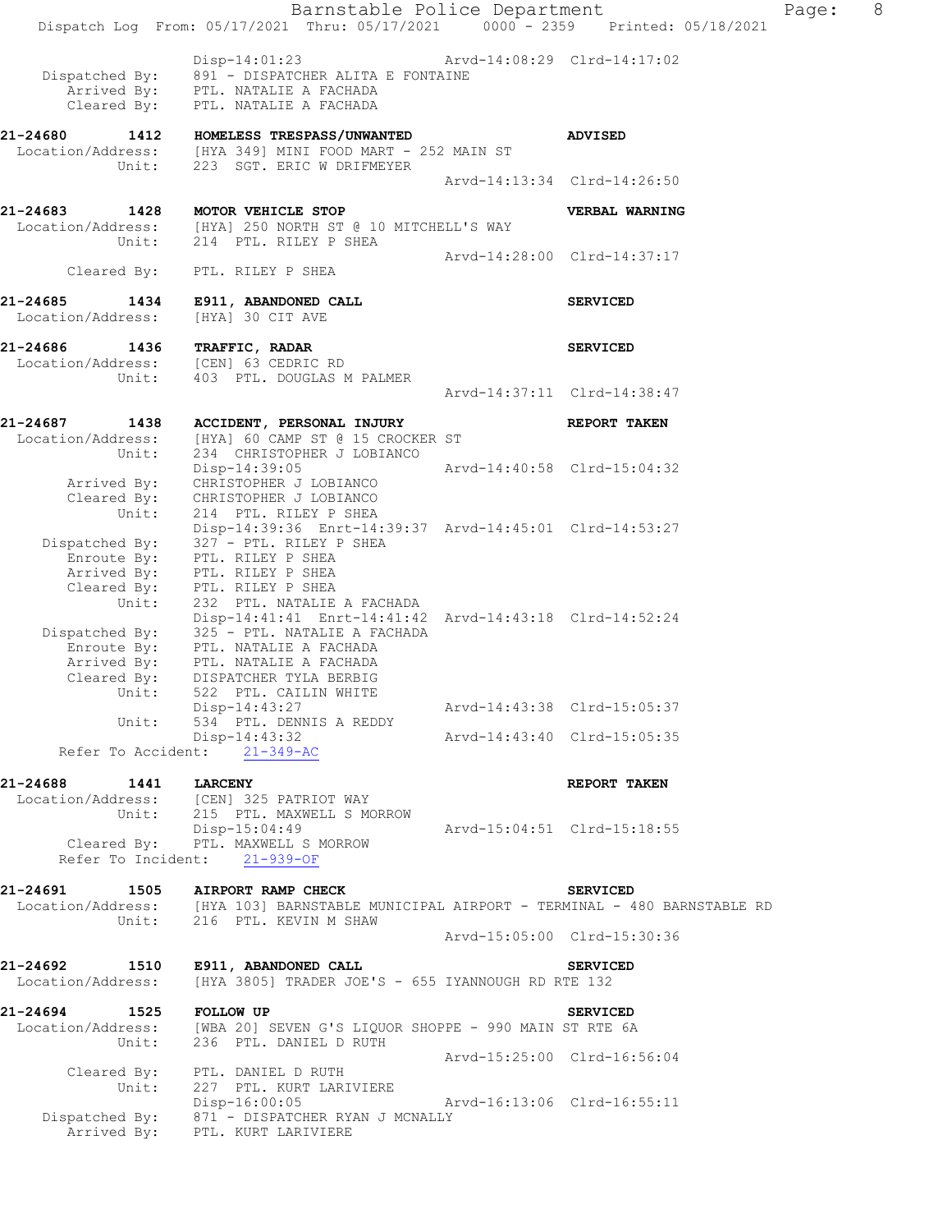|                                                                               | Disp-14:01:23 Arvd-14:08:29 Clrd-14:17:02<br>Dispatched By: 891 - DISPATCHER ALITA E FONTAINE<br>Arrived By: PTL. NATALIE A FACHADA<br>Cleared By: PTL. NATALIE A FACHADA         |                             |                             |
|-------------------------------------------------------------------------------|-----------------------------------------------------------------------------------------------------------------------------------------------------------------------------------|-----------------------------|-----------------------------|
|                                                                               | 21-24680 1412 HOMELESS TRESPASS/UNWANTED<br>Location/Address: [HYA 349] MINI FOOD MART - 252 MAIN ST<br>Unit: 223 SGT. ERIC W DRIFMEYER                                           |                             | <b>ADVISED</b>              |
|                                                                               |                                                                                                                                                                                   | Arvd-14:13:34 Clrd-14:26:50 |                             |
| 21-24683 1428 MOTOR VEHICLE STOP                                              | Location/Address: [HYA] 250 NORTH ST @ 10 MITCHELL'S WAY<br>Unit: 214 PTL. RILEY P SHEA                                                                                           |                             | VERBAL WARNING              |
|                                                                               | Cleared By: PTL. RILEY P SHEA                                                                                                                                                     | Arvd-14:28:00 Clrd-14:37:17 |                             |
| Location/Address: [HYA] 30 CIT AVE                                            | 21-24685 1434 E911, ABANDONED CALL                                                                                                                                                |                             | <b>SERVICED</b>             |
| 21-24686 1436 TRAFFIC, RADAR<br>Location/Address: [CEN] 63 CEDRIC RD<br>Unit: | 403 PTL. DOUGLAS M PALMER                                                                                                                                                         |                             | <b>SERVICED</b>             |
|                                                                               |                                                                                                                                                                                   | Arvd-14:37:11 Clrd-14:38:47 |                             |
| 21-24687<br>1438                                                              | ACCIDENT, PERSONAL INJURY<br>Location/Address: [HYA] 60 CAMP ST @ 15 CROCKER ST<br>Unit: 234 CHRISTOPHER J LOBIANCO                                                               |                             | <b>REPORT TAKEN</b>         |
|                                                                               | Disp-14:39:05 Arvd-14:40:58 Clrd-15:04:32<br>Arrived By: CHRISTOPHER J LOBIANCO<br>Cleared $B_y$ : CHRISTOPHER J LOBIANCO                                                         |                             |                             |
| Unit:<br>Enroute By:                                                          | 214 PTL. RILEY P SHEA<br>Disp-14:39:36 Enrt-14:39:37 Arvd-14:45:01 Clrd-14:53:27<br>Dispatched By: 327 - PTL. RILEY P SHEA<br>PTL. RILEY P SHEA                                   |                             |                             |
|                                                                               | Arrived By: PTL. RILEY P SHEA<br>Cleared By: PTL. RILEY P SHEA<br>Unit: 232 PTL. NATALIE<br>232 PTL. NATALIE A FACHADA<br>Disp-14:41:41 Enrt-14:41:42 Arvd-14:43:18 Clrd-14:52:24 |                             |                             |
|                                                                               | Dispatched By: 325 - PTL. NATALIE A FACHADA<br>Enroute By: PTL. NATALIE A FACHADA<br>Arrived By: PTL. NATALIE A FACHADA<br>Cleared By: DISPATCHER TYLA BERBIG                     |                             |                             |
| Unit:<br>Unit:                                                                | 522 PTL. CAILIN WHITE<br>Disp-14:43:27<br>534 PTL. DENNIS A REDDY                                                                                                                 | Arvd-14:43:38 Clrd-15:05:37 |                             |
|                                                                               | Disp-14:43:32<br>Refer To Accident: 21-349-AC                                                                                                                                     |                             | Arvd-14:43:40 Clrd-15:05:35 |
| 21-24688 1441                                                                 | <b>LARCENY</b>                                                                                                                                                                    |                             | REPORT TAKEN                |
|                                                                               | Location/Address: [CEN] 325 PATRIOT WAY<br>Unit: 215 PTL. MAXWELL S MORROW                                                                                                        |                             |                             |
|                                                                               | $Disp-15:04:49$<br>Cleared By: PTL. MAXWELL S MORROW<br>Refer To Incident: 21-939-OF                                                                                              | Arvd-15:04:51 Clrd-15:18:55 |                             |
| 21-24691                                                                      | 1505 AIRPORT RAMP CHECK                                                                                                                                                           |                             | <b>SERVICED</b>             |
|                                                                               | Location/Address: [HYA 103] BARNSTABLE MUNICIPAL AIRPORT - TERMINAL - 480 BARNSTABLE RD<br>Unit: 216 PTL. KEVIN M SHAW                                                            |                             |                             |

Dispatch Log From: 05/17/2021 Thru: 05/17/2021 0000 - 2359 Printed: 05/18/2021

Arvd-15:05:00 Clrd-15:30:36

## **21-24692 1510 E911, ABANDONED CALL SERVICED**

## Location/Address: [HYA 3805] TRADER JOE'S - 655 IYANNOUGH RD RTE 132

**21-24694 1525 FOLLOW UP SERVICED**  Location/Address: [WBA 20] SEVEN G'S LIQUOR SHOPPE - 990 MAIN ST RTE 6A Unit: 236 PTL. DANIEL D RUTH Arvd-15:25:00 Clrd-16:56:04 Cleared By: PTL. DANIEL D RUTH Unit: 227 PTL. KURT LARIVIERE Disp-16:00:05 Arvd-16:13:06 Clrd-16:55:11 Dispatched By: 871 - DISPATCHER RYAN J MCNALLY .<br>Arrived By: PTL. KURT LARIVIERE

## Barnstable Police Department Fage: 8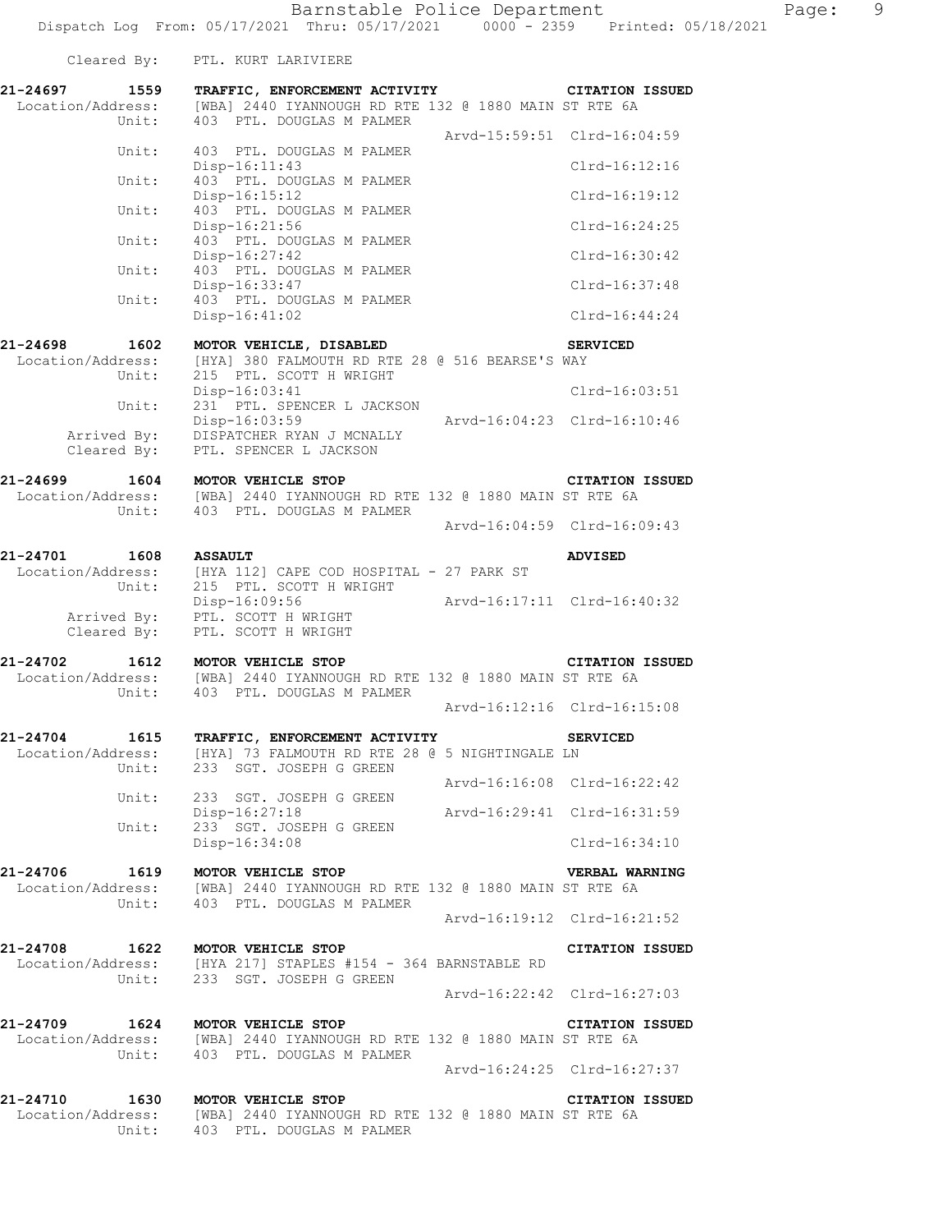|                                       | Cleared By: PTL. KURT LARIVIERE                                                                                                                                           |                             |
|---------------------------------------|---------------------------------------------------------------------------------------------------------------------------------------------------------------------------|-----------------------------|
|                                       | 21-24697 1559 TRAFFIC, ENFORCEMENT ACTIVITY CITATION ISSUED<br>Location/Address: [WBA] 2440 IYANNOUGH RD RTE 132 @ 1880 MAIN ST RTE 6A<br>Unit: 403 PTL. DOUGLAS M PALMER |                             |
|                                       |                                                                                                                                                                           | Arvd-15:59:51 Clrd-16:04:59 |
|                                       | Unit: 403 PTL. DOUGLAS M PALMER<br>$Disp-16:11:43$                                                                                                                        | Clrd-16:12:16               |
|                                       | Unit: 403 PTL. DOUGLAS M PALMER<br>$Disp-16:15:12$                                                                                                                        | Clrd-16:19:12               |
|                                       | Unit: 403 PTL. DOUGLAS M PALMER<br>$Disp-16:21:56$                                                                                                                        | Clrd-16:24:25               |
|                                       | Unit: 403 PTL. DOUGLAS M PALMER<br>Disp-16:27:42                                                                                                                          | Clrd-16:30:42               |
|                                       | Unit: 403 PTL. DOUGLAS M PALMER<br>Disp-16:33:47                                                                                                                          | Clrd-16:37:48               |
| Unit:                                 | 403 PTL. DOUGLAS M PALMER<br>$Disp-16:41:02$                                                                                                                              | Clrd-16:44:24               |
|                                       |                                                                                                                                                                           |                             |
| 21-24698 1602<br>Unit:                | MOTOR VEHICLE, DISABLED<br>Location/Address: [HYA] 380 FALMOUTH RD RTE 28 @ 516 BEARSE'S WAY<br>215 PTL. SCOTT H WRIGHT                                                   | <b>SERVICED</b>             |
|                                       | $Disp-16:03:41$<br>Unit: 231 PTL. SPENCER L JACKSON                                                                                                                       | Clrd-16:03:51               |
|                                       | Disp-16:03:59 Arvd-16:04:23 Clrd-16:10:46<br>Arrived By: DISPATCHER RYAN J MCNALLY                                                                                        |                             |
|                                       | Cleared By: PTL. SPENCER L JACKSON                                                                                                                                        |                             |
|                                       | 21-24699 1604 MOTOR VEHICLE STOP CITATION<br>Location/Address: [WBA] 2440 IYANNOUGH RD RTE 132 @ 1880 MAIN ST RTE 6A<br>Unit: 403 PTL. DOUGLAS M PALMER                   | <b>CITATION ISSUED</b>      |
|                                       |                                                                                                                                                                           | Arvd-16:04:59 Clrd-16:09:43 |
| 21-24701 1608 ASSAULT                 |                                                                                                                                                                           | <b>ADVISED</b>              |
|                                       | Location/Address: [HYA 112] CAPE COD HOSPITAL - 27 PARK ST<br>Unit: 215 PTL. SCOTT H WRIGHT                                                                               |                             |
|                                       | Example 19:56<br>Arvd-16:17:11 Clrd-16:40:32<br>Cleared By: PTL. SCOTT H WRIGHT<br>Cleared By: PTL. SCOTT H WRIGHT                                                        |                             |
|                                       | 21-24702 1612 MOTOR VEHICLE STOP<br>Location/Address: [WBA] 2440 IYANNOUGH RD RTE 132 @ 1880 MAIN ST RTE 6A<br>Unit: 403 PTL. DOUGLAS M PALMER                            | <b>CITATION ISSUED</b>      |
|                                       | Arvd-16:12:16 Clrd-16:15:08                                                                                                                                               |                             |
| 21-24704<br>1615<br>Location/Address: | TRAFFIC, ENFORCEMENT ACTIVITY<br>[HYA] 73 FALMOUTH RD RTE 28 @ 5 NIGHTINGALE LN                                                                                           | <b>SERVICED</b>             |
| Unit:                                 | 233 SGT. JOSEPH G GREEN                                                                                                                                                   | Arvd-16:16:08 Clrd-16:22:42 |
| Unit:                                 | 233 SGT. JOSEPH G GREEN<br>Disp-16:27:18                                                                                                                                  | Arvd-16:29:41 Clrd-16:31:59 |
| Unit:                                 | 233 SGT. JOSEPH G GREEN                                                                                                                                                   |                             |
|                                       | Disp-16:34:08                                                                                                                                                             | $Clrd-16:34:10$             |
| 21-24706<br>1619<br>Location/Address: | MOTOR VEHICLE STOP<br>[WBA] 2440 IYANNOUGH RD RTE 132 @ 1880 MAIN ST RTE 6A                                                                                               | VERBAL WARNING              |

 $21 - 24706$ <br>Location/A Unit: 403 PTL. DOUGLAS M PALMER

**21-24708 1622 MOTOR VEHICLE STOP CITATION ISSUED**  Location/Address: [HYA 217] STAPLES #154 - 364 BARNSTABLE RD Unit: 233 SGT. JOSEPH G GREEN Arvd-16:22:42 Clrd-16:27:03

Arvd-16:19:12 Clrd-16:21:52

**21-24709 1624 MOTOR VEHICLE STOP CITATION ISSUED**  Location/Address: [WBA] 2440 IYANNOUGH RD RTE 132 @ 1880 MAIN ST RTE 6A Unit: 403 PTL. DOUGLAS M PALMER Arvd-16:24:25 Clrd-16:27:37

**21-24710 1630 MOTOR VEHICLE STOP CITATION ISSUED**  Location/Address: [WBA] 2440 IYANNOUGH RD RTE 132 @ 1880 MAIN ST RTE 6A Unit: 403 PTL. DOUGLAS M PALMER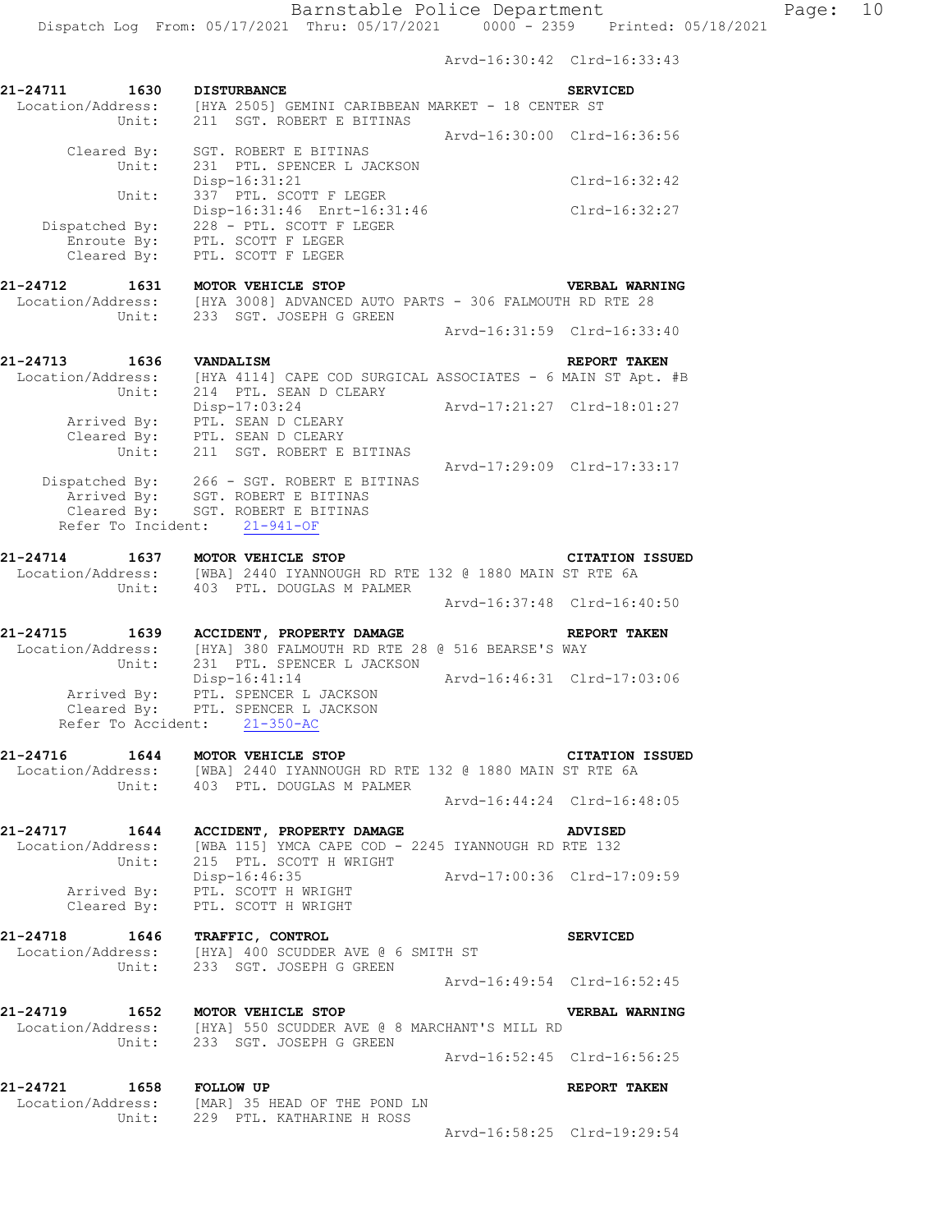Arvd-16:30:42 Clrd-16:33:43

| 21-24711<br>1630<br>Unit:                             | <b>DISTURBANCE</b><br>Location/Address: [HYA 2505] GEMINI CARIBBEAN MARKET - 18 CENTER ST<br>211 SGT. ROBERT E BITINAS                               | <b>SERVICED</b>             |
|-------------------------------------------------------|------------------------------------------------------------------------------------------------------------------------------------------------------|-----------------------------|
| Cleared By:                                           | SGT. ROBERT E BITINAS                                                                                                                                | Arvd-16:30:00 Clrd-16:36:56 |
| Unit:<br>Unit:                                        | 231 PTL. SPENCER L JACKSON<br>Disp-16:31:21<br>337 PTL. SCOTT F LEGER                                                                                | $Clrd-16:32:42$             |
| Dispatched By:<br>Enroute By:<br>Cleared By:          | Disp-16:31:46 Enrt-16:31:46<br>228 - PTL. SCOTT F LEGER<br>PTL. SCOTT F LEGER<br>PTL. SCOTT F LEGER                                                  | Clrd-16:32:27               |
| 21-24712<br>1631<br>Location/Address:                 | MOTOR VEHICLE STOP<br>[HYA 3008] ADVANCED AUTO PARTS - 306 FALMOUTH RD RTE 28                                                                        | VERBAL WARNING              |
| Unit:                                                 | 233 SGT. JOSEPH G GREEN                                                                                                                              | Arvd-16:31:59 Clrd-16:33:40 |
| 21-24713<br>1636<br>Location/Address:<br>Unit:        | <b>VANDALISM</b><br>[HYA 4114] CAPE COD SURGICAL ASSOCIATES - 6 MAIN ST Apt. #B<br>214 PTL. SEAN D CLEARY                                            | REPORT TAKEN                |
|                                                       | Disp-17:03:24<br>Arrived By: PTL. SEAN D CLEARY<br>Cleared By: PTL. SEAN D CLEARY<br>Unit: 211 SGT. ROBERT E BITINAS                                 |                             |
|                                                       | Dispatched By: 266 - SGT. ROBERT E BITINAS<br>Arrived By: SGT. ROBERT E BITINAS<br>Cleared By: SGT. ROBERT E BITINAS<br>Refer To Incident: 21-941-OF | Arvd-17:29:09 Clrd-17:33:17 |
| 21-24714 1637 MOTOR VEHICLE STOP<br>Unit:             | Location/Address: [WBA] 2440 IYANNOUGH RD RTE 132 @ 1880 MAIN ST RTE 6A<br>403 PTL. DOUGLAS M PALMER                                                 | <b>CITATION ISSUED</b>      |
|                                                       |                                                                                                                                                      | Arvd-16:37:48 Clrd-16:40:50 |
| 21-24715<br>1639<br>Unit:                             | ACCIDENT, PROPERTY DAMAGE<br>Location/Address: [HYA] 380 FALMOUTH RD RTE 28 @ 516 BEARSE'S WAY<br>231 PTL. SPENCER L JACKSON                         | REPORT TAKEN                |
| Cleared By:                                           | Disp-16:41:14<br>Arrived By: PTL. SPENCER L JACKSON<br>PTL. SPENCER L JACKSON<br>Refer To Accident: 21-350-AC                                        | Arvd-16:46:31 Clrd-17:03:06 |
| 21-24716<br>1644                                      | MOTOR VEHICLE STOP<br>Location/Address: [WBA] 2440 IYANNOUGH RD RTE 132 @ 1880 MAIN ST RTE 6A                                                        | <b>CITATION ISSUED</b>      |
|                                                       | Unit: 403 PTL. DOUGLAS M PALMER                                                                                                                      | Arvd-16:44:24 Clrd-16:48:05 |
| 21-24717 1644<br>Location/Address:<br>Unit:           | ACCIDENT, PROPERTY DAMAGE<br>[WBA 115] YMCA CAPE COD - 2245 IYANNOUGH RD RTE 132<br>215 PTL. SCOTT H WRIGHT                                          | <b>ADVISED</b>              |
| Cleared By:                                           | Disp-16:46:35<br>Arrived By: PTL. SCOTT H WRIGHT<br>PTL. SCOTT H WRIGHT                                                                              | Arvd-17:00:36 Clrd-17:09:59 |
| 21-24718  1646  TRAFFIC, CONTROL<br>Location/Address: | dress: [HYA] 400 SCUDDER AVE @ 6 SMITH ST<br>Unit: 233 SGT. JOSEPH G GREEN                                                                           | <b>SERVICED</b>             |
|                                                       |                                                                                                                                                      | Arvd-16:49:54 Clrd-16:52:45 |
| 21-24719 1652 MOTOR VEHICLE STOP                      | Location/Address: [HYA] 550 SCUDDER AVE @ 8 MARCHANT'S MILL RD<br>Unit: 233 SGT. JOSEPH G GREEN                                                      | VERBAL WARNING              |
|                                                       |                                                                                                                                                      | Arvd-16:52:45 Clrd-16:56:25 |
| 21-24721 1658 FOLLOW UP                               | Location/Address: [MAR] 35 HEAD OF THE POND LN<br>Unit: 229 PTL. KATHARINE H ROSS                                                                    | REPORT TAKEN                |
|                                                       |                                                                                                                                                      | Arvd-16:58:25 Clrd-19:29:54 |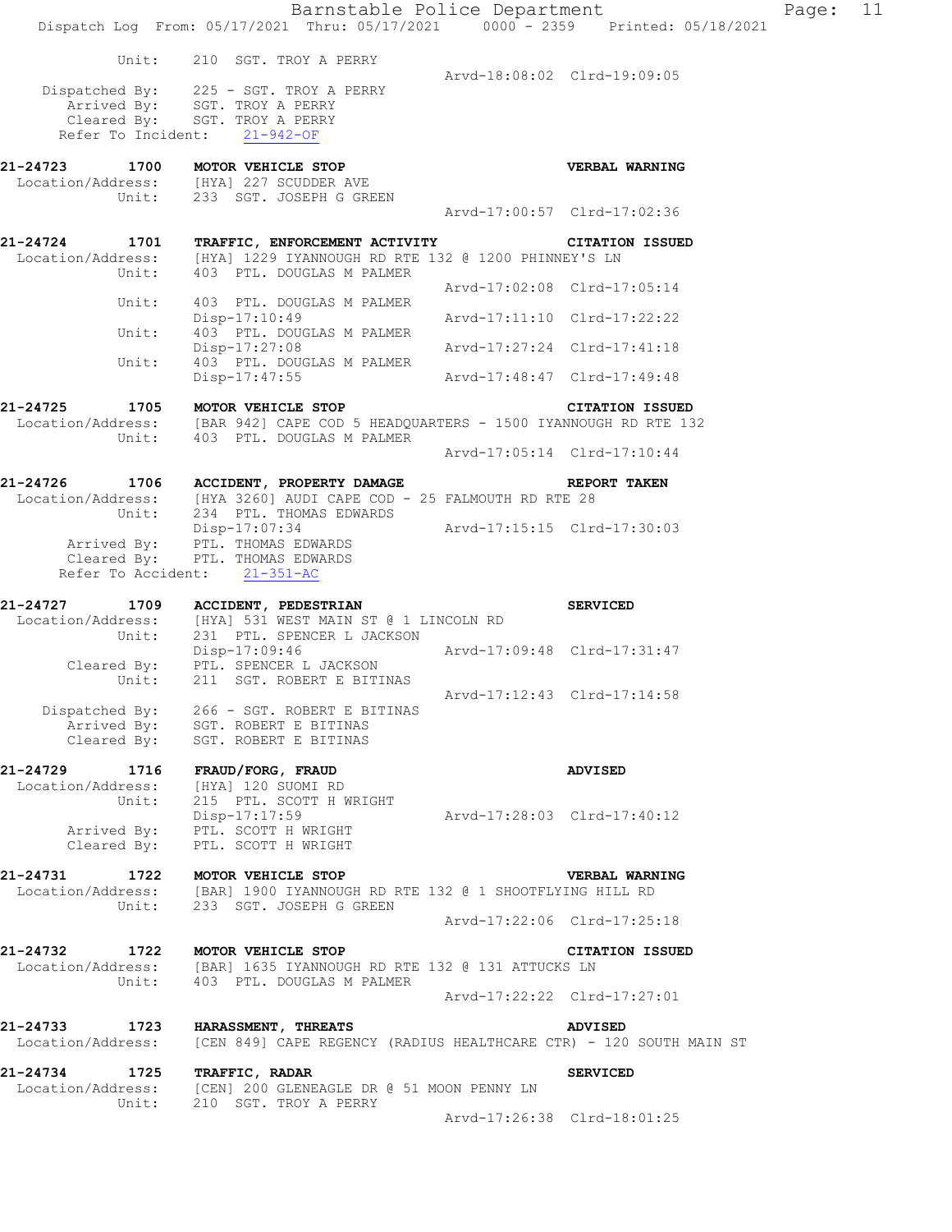|                                                                   | Barnstable Police Department<br>Dispatch Log From: 05/17/2021 Thru: 05/17/2021 0000 - 2359 Printed: 05/18/2021                                                                      |                             |                             |
|-------------------------------------------------------------------|-------------------------------------------------------------------------------------------------------------------------------------------------------------------------------------|-----------------------------|-----------------------------|
|                                                                   | Unit: 210 SGT. TROY A PERRY<br>Dispatched By: 225 - SGT. TROY A PERRY<br>Arrived By: SGT. TROY A PERRY<br>Cleared By: SGT. TROY A PERRY<br>Refer To Incident: 21-942-OF             | Arvd-18:08:02 Clrd-19:09:05 |                             |
| 21-24723                                                          | 1700 MOTOR VEHICLE STOP<br>Location/Address: [HYA] 227 SCUDDER AVE<br>Unit: 233 SGT. JOSEPH G GREEN                                                                                 |                             | <b>VERBAL WARNING</b>       |
|                                                                   |                                                                                                                                                                                     | Arvd-17:00:57 Clrd-17:02:36 |                             |
| 21-24724                                                          | 1701 TRAFFIC, ENFORCEMENT ACTIVITY <b>THE CONSTRUES CITATION ISSUED</b><br>Location/Address: [HYA] 1229 IYANNOUGH RD RTE 132 @ 1200 PHINNEY'S LN<br>Unit: 403 PTL. DOUGLAS M PALMER |                             |                             |
|                                                                   |                                                                                                                                                                                     |                             | Arvd-17:02:08 Clrd-17:05:14 |
| Unit:                                                             | 403 PTL. DOUGLAS M PALMER<br>$Disp-17:10:49$                                                                                                                                        | Arvd-17:11:10 Clrd-17:22:22 |                             |
| Unit:                                                             | 403 PTL. DOUGLAS M PALMER<br>$Disp-17:27:08$                                                                                                                                        | Arvd-17:27:24 Clrd-17:41:18 |                             |
| Unit:                                                             | 403 PTL. DOUGLAS M PALMER<br>Disp-17:47:55                                                                                                                                          | Arvd-17:48:47 Clrd-17:49:48 |                             |
| 21-24725                                                          | L-24725 1705 MOTOR VEHICLE STOP CITATION ISSUED<br>Location/Address: [BAR 942] CAPE COD 5 HEADQUARTERS - 1500 IYANNOUGH RD RTE 132<br>Unit: 403 PTL. DOUGLAS M PALMER               |                             |                             |
|                                                                   |                                                                                                                                                                                     | Arvd-17:05:14 Clrd-17:10:44 |                             |
|                                                                   | 21-24726 1706 ACCIDENT, PROPERTY DAMAGE REPORT TAKEN<br>Location/Address: [HYA 3260] AUDI CAPE COD - 25 FALMOUTH RD RTE 28<br>Unit: 234 PTL. THOMAS EDWARDS                         |                             |                             |
|                                                                   | Disp-17:07:34<br>Arrived By: PTL. THOMAS EDWARDS<br>Cleared By: PTL. THOMAS EDWARDS<br>Refer To Accident: 21-351-AC                                                                 | Arvd-17:15:15 Clrd-17:30:03 |                             |
| 21-24727                                                          | 1709 ACCIDENT, PEDESTRIAN                                                                                                                                                           |                             | <b>SERVICED</b>             |
|                                                                   | Location/Address: [HYA] 531 WEST MAIN ST @ 1 LINCOLN RD<br>Unit: 231 PTL. SPENCER L JACKSON<br>Disp-17:09:46 Arvd-17:09:48 Clrd-17:31:47<br>Cleared By: PTL. SPENCER L JACKSON      |                             |                             |
|                                                                   | Unit: 211 SGT. ROBERT E BITINAS<br>Dispatched By: 266 - SGT. ROBERT E BITINAS<br>Arrived By: SGT. ROBERT E BITINAS                                                                  |                             | Arvd-17:12:43 Clrd-17:14:58 |
|                                                                   | Cleared By: SGT. ROBERT E BITINAS                                                                                                                                                   |                             |                             |
| 21-24729<br>1716<br>Location/Address: [HYA] 120 SUOMI RD<br>Unit: | FRAUD/FORG, FRAUD<br>215 PTL. SCOTT H WRIGHT                                                                                                                                        |                             | <b>ADVISED</b>              |
|                                                                   | Disp-17:17:59<br>Arrived By: PTL. SCOTT H WRIGHT<br>Cleared By: PTL. SCOTT H WRIGHT                                                                                                 | Arvd-17:28:03 Clrd-17:40:12 |                             |
| 21-24731<br>Location/Address:                                     | 1722 MOTOR VEHICLE STOP<br>[BAR] 1900 IYANNOUGH RD RTE 132 @ 1 SHOOTFLYING HILL RD<br>Unit: 233 SGT. JOSEPH G GREEN                                                                 |                             | VERBAL WARNING              |
|                                                                   |                                                                                                                                                                                     |                             | Arvd-17:22:06 Clrd-17:25:18 |
| 21-24732                                                          | 1722 MOTOR VEHICLE STOP<br>Location/Address: [BAR] 1635 IYANNOUGH RD RTE 132 @ 131 ATTUCKS LN<br>Unit: 403 PTL. DOUGLAS M PALMER                                                    |                             | <b>CITATION ISSUED</b>      |
|                                                                   |                                                                                                                                                                                     |                             | Arvd-17:22:22 Clrd-17:27:01 |
| 21-24733                                                          | 1723 HARASSMENT, THREATS<br>Location/Address: [CEN 849] CAPE REGENCY (RADIUS HEALTHCARE CTR) - 120 SOUTH MAIN ST                                                                    |                             | <b>ADVISED</b>              |
| 21-24734                                                          | 1725 TRAFFIC, RADAR<br>Location/Address: [CEN] 200 GLENEAGLE DR @ 51 MOON PENNY LN<br>Unit: 210 SGT. TROY A PERRY                                                                   |                             | <b>SERVICED</b>             |
|                                                                   |                                                                                                                                                                                     |                             | Arvd-17:26:38 Clrd-18:01:25 |

Page:  $11$ <br> $21$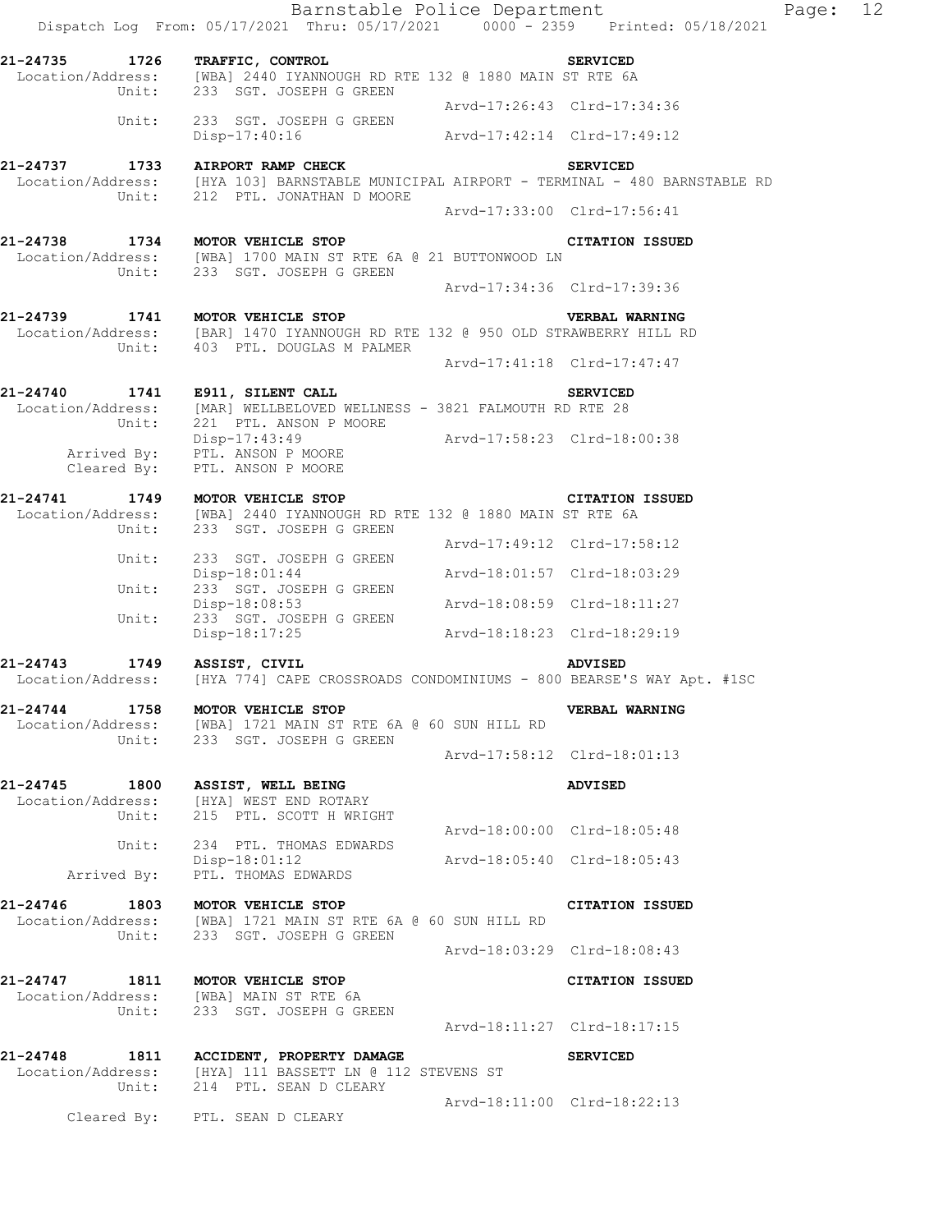|                                  | Barnstable Police Department<br>Dispatch Log From: 05/17/2021 Thru: 05/17/2021 0000 - 2359 Printed: 05/18/2021                                        |                             |                             | Page: 12 |  |
|----------------------------------|-------------------------------------------------------------------------------------------------------------------------------------------------------|-----------------------------|-----------------------------|----------|--|
| 21-24735 1726 TRAFFIC, CONTROL   | Location/Address: [WBA] 2440 IYANNOUGH RD RTE 132 @ 1880 MAIN ST RTE 6A<br>Unit: 233 SGT. JOSEPH G GREEN                                              |                             | <b>SERVICED</b>             |          |  |
|                                  |                                                                                                                                                       | Arvd-17:26:43 Clrd-17:34:36 |                             |          |  |
| Unit:                            | 233 SGT. JOSEPH G GREEN<br>Disp-17:40:16 Arvd-17:42:14 Clrd-17:49:12                                                                                  |                             |                             |          |  |
|                                  | 21-24737 1733 AIRPORT RAMP CHECK<br>Location/Address: [HYA 103] BARNSTABLE MUNICIPAL AIRPORT - TERMINAL - 480 BARNSTABLE RD                           |                             | <b>SERVICED</b>             |          |  |
|                                  | Unit: 212 PTL. JONATHAN D MOORE                                                                                                                       | Arvd-17:33:00 Clrd-17:56:41 |                             |          |  |
|                                  | 21-24738 1734 MOTOR VEHICLE STOP<br>Location/Address: [WBA] 1700 MAIN ST RTE 6A @ 21 BUTTONWOOD LN<br>Unit: 233 SGT. JOSEPH G GREEN                   |                             | <b>CITATION ISSUED</b>      |          |  |
|                                  |                                                                                                                                                       | Arvd-17:34:36 Clrd-17:39:36 |                             |          |  |
|                                  | 21-24739 1741 MOTOR VEHICLE STOP<br>Location/Address: [BAR] 1470 IYANNOUGH RD RTE 132 @ 950 OLD STRAWBERRY HILL RD<br>Unit: 403 PTL. DOUGLAS M PALMER |                             | <b>VERBAL WARNING</b>       |          |  |
|                                  |                                                                                                                                                       | Arvd-17:41:18 Clrd-17:47:47 |                             |          |  |
|                                  | 21-24740 1741 E911, SILENT CALL<br>Location/Address: [MAR] WELLBELOVED WELLNESS - 3821 FALMOUTH RD RTE 28<br>Unit: 221 PTL. ANSON P MOORE             |                             | <b>SERVICED</b>             |          |  |
|                                  | Disp-17:43:49<br>Arrived By: PTL. ANSON P MOORE<br>Cleared By: PTL. ANSON P MOORE                                                                     | Arvd-17:58:23 Clrd-18:00:38 |                             |          |  |
|                                  | 21-24741 1749 MOTOR VEHICLE STOP<br>Location/Address: [WBA] 2440 IYANNOUGH RD RTE 132 @ 1880 MAIN ST RTE 6A<br>Unit: 233 SGT. JOSEPH G GREEN          |                             | <b>CITATION ISSUED</b>      |          |  |
|                                  |                                                                                                                                                       |                             | Arvd-17:49:12 Clrd-17:58:12 |          |  |
| Unit:                            | 233 SGT. JOSEPH G GREEN<br>$Disp-18:01:44$<br>233 SGT. JOSEPH G GREEN                                                                                 | Arvd-18:01:57 Clrd-18:03:29 |                             |          |  |
| Unit:<br>Unit:                   | Disp-18:08:53                                                                                                                                         | Arvd-18:08:59 Clrd-18:11:27 |                             |          |  |
|                                  | 233 SGT. JOSEPH G GREEN<br>Disp-18:17:25                                                                                                              |                             | Arvd-18:18:23 Clrd-18:29:19 |          |  |
| 21-24743 1749 ASSIST, CIVIL      | Location/Address: [HYA 774] CAPE CROSSROADS CONDOMINIUMS - 800 BEARSE'S WAY Apt. #1SC                                                                 |                             | <b>ADVISED</b>              |          |  |
| 21-24744 1758 MOTOR VEHICLE STOP | Location/Address: [WBA] 1721 MAIN ST RTE 6A @ 60 SUN HILL RD<br>Unit: 233 SGT. JOSEPH G GREEN                                                         |                             | <b>VERBAL WARNING</b>       |          |  |
|                                  |                                                                                                                                                       |                             | Arvd-17:58:12 Clrd-18:01:13 |          |  |
| 21-24745 1800 ASSIST, WELL BEING | Location/Address: [HYA] WEST END ROTARY<br>Unit: 215 PTL. SCOTT H WRIGHT                                                                              |                             | ADVISED                     |          |  |
|                                  |                                                                                                                                                       | Arvd-18:00:00 Clrd-18:05:48 |                             |          |  |
| Arrived By:                      | Unit: 234 PTL. THOMAS EDWARDS<br>Disp-18:01:12<br>PTL. THOMAS EDWARDS                                                                                 | Arvd-18:05:40 Clrd-18:05:43 |                             |          |  |
|                                  | 21-24746 1803 MOTOR VEHICLE STOP<br>Location/Address: [WBA] 1721 MAIN ST RTE 6A @ 60 SUN HILL RD<br>Unit: 233 SGT. JOSEPH G GREEN                     |                             | CITATION ISSUED             |          |  |
|                                  |                                                                                                                                                       | Arvd-18:03:29 Clrd-18:08:43 |                             |          |  |
|                                  | 21-24747 1811 MOTOR VEHICLE STOP<br>Location/Address: [WBA] MAIN ST RTE 6A<br>Unit: 233 SGT. JOSEPH G GREEN                                           |                             | CITATION ISSUED             |          |  |
|                                  |                                                                                                                                                       | Arvd-18:11:27 Clrd-18:17:15 |                             |          |  |
|                                  | 21-24748 1811 ACCIDENT, PROPERTY DAMAGE<br>Location/Address: [HYA] 111 BASSETT LN @ 112 STEVENS ST<br>Unit: 214 PTL. SEAN D CLEARY                    |                             | <b>SERVICED</b>             |          |  |
|                                  | Cleared By: PTL. SEAN D CLEARY                                                                                                                        | Arvd-18:11:00 Clrd-18:22:13 |                             |          |  |
|                                  |                                                                                                                                                       |                             |                             |          |  |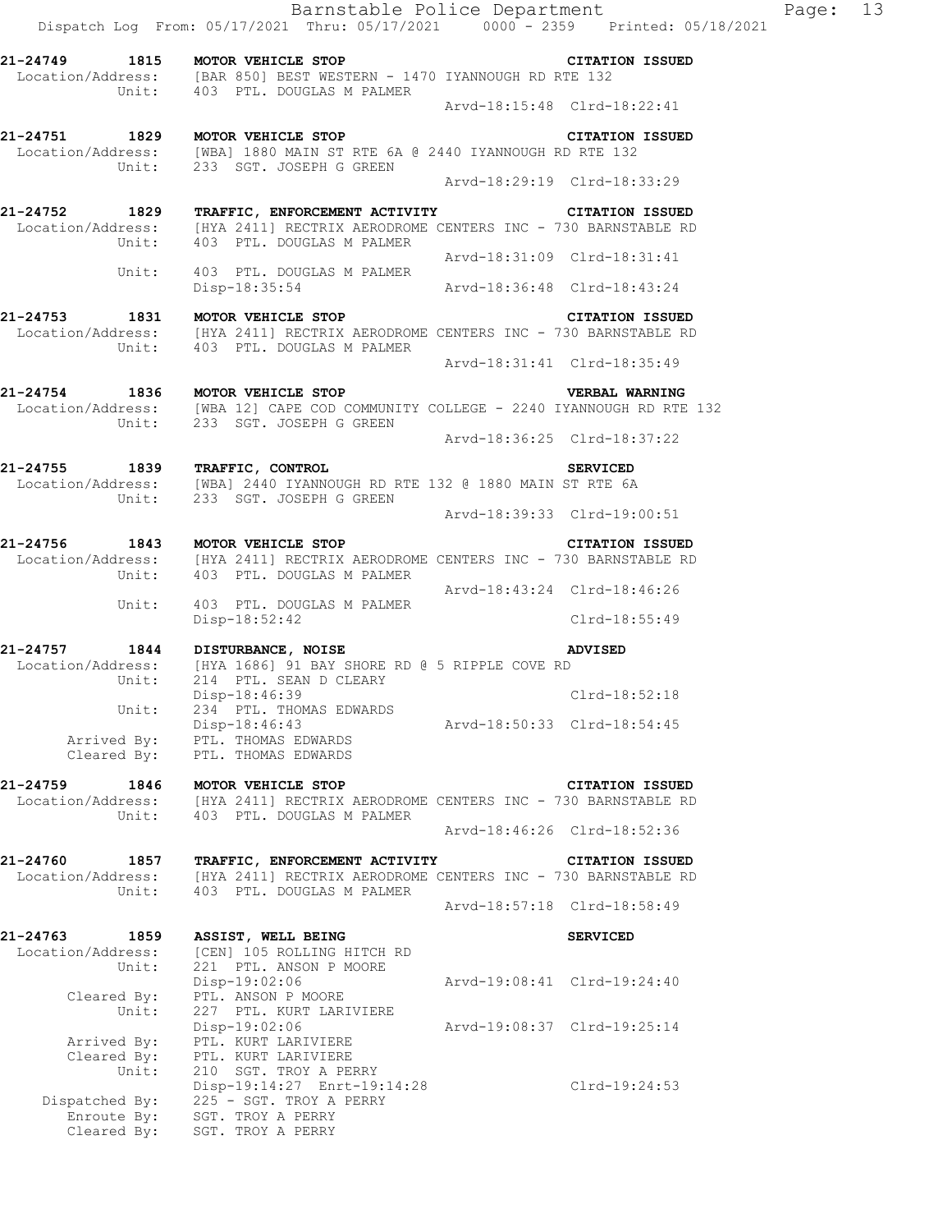|                  | $\frac{1}{2}$ $\frac{1}{2}$ $\frac{1}{2}$ $\frac{1}{2}$ $\frac{1}{2}$ $\frac{1}{2}$ $\frac{1}{2}$ $\frac{1}{2}$ $\frac{1}{2}$ $\frac{1}{2}$ $\frac{1}{2}$ $\frac{1}{2}$ $\frac{1}{2}$ $\frac{1}{2}$ $\frac{1}{2}$ $\frac{1}{2}$ $\frac{1}{2}$ $\frac{1}{2}$ $\frac{1}{2}$ $\frac{1}{2}$ $\frac{1}{2}$ $\frac{1}{2}$ |
|------------------|---------------------------------------------------------------------------------------------------------------------------------------------------------------------------------------------------------------------------------------------------------------------------------------------------------------------|
| 21-24749 1815    | MOTOR VEHICLE STOP<br><b>CITATION ISSUED</b>                                                                                                                                                                                                                                                                        |
|                  | Location/Address: [BAR 850] BEST WESTERN - 1470 IYANNOUGH RD RTE 132<br>Unit: 403 PTL. DOUGLAS M PALMER                                                                                                                                                                                                             |
|                  | Arvd-18:15:48 Clrd-18:22:41                                                                                                                                                                                                                                                                                         |
| 1829<br>21-24751 | MOTOR VEHICLE STOP<br><b>CITATION ISSUED</b>                                                                                                                                                                                                                                                                        |
|                  | Location/Address: [WBA] 1880 MAIN ST RTE 6A @ 2440 IYANNOUGH RD RTE 132<br>Unit: 233 SGT. JOSEPH G GREEN                                                                                                                                                                                                            |
|                  | Aryd-18:29:19 Clrd-18:33:29                                                                                                                                                                                                                                                                                         |
| 21-24752 1829    | TRAFFIC, ENFORCEMENT ACTIVITY<br><b>CITATION ISSUED</b>                                                                                                                                                                                                                                                             |
|                  | Location/Address: [HYA 2411] RECTRIX AERODROME CENTERS INC - 730 BARNSTABLE RD                                                                                                                                                                                                                                      |
|                  | Unit: 403 PTL, DOUGLAS M PALMER                                                                                                                                                                                                                                                                                     |
|                  | Arvd-18:31:09 Clrd-18:31:41                                                                                                                                                                                                                                                                                         |
| Unit:            | 403 PTL. DOUGLAS M PALMER                                                                                                                                                                                                                                                                                           |

Disp-18:35:54 Arvd-18:36:48 Clrd-18:43:24

- **21-24753 1831 MOTOR VEHICLE STOP CITATION ISSUED**  Location/Address: [HYA 2411] RECTRIX AERODROME CENTERS INC - 730 BARNSTABLE RD Unit: 403 PTL. DOUGLAS M PALMER Arvd-18:31:41 Clrd-18:35:49
- **21-24754 1836 MOTOR VEHICLE STOP VERBAL WARNING**  Location/Address: [WBA 12] CAPE COD COMMUNITY COLLEGE - 2240 IYANNOUGH RD RTE 132

Unit: 233 SGT. JOSEPH G GREEN Arvd-18:36:25 Clrd-18:37:22

- **21-24755 1839 TRAFFIC, CONTROL SERVICED**  Location/Address: [WBA] 2440 IYANNOUGH RD RTE 132 @ 1880 MAIN ST RTE 6A Unit: 233 SGT. JOSEPH G GREEN Arvd-18:39:33 Clrd-19:00:51
- **21-24756 1843 MOTOR VEHICLE STOP CITATION ISSUED**  Location/Address: [HYA 2411] RECTRIX AERODROME CENTERS INC - 730 BARNSTABLE RD Unit: 403 PTL. DOUGLAS M PALMER Arvd-18:43:24 Clrd-18:46:26 Unit: 403 PTL. DOUGLAS M PALMER Disp-18:52:42 Clrd-18:55:49
- **21-24757 1844 DISTURBANCE, NOISE ADVISED**  Location/Address: [HYA 1686] 91 BAY SHORE RD @ 5 RIPPLE COVE RD Unit: 214 PTL. SEAN D CLEARY Disp-18:46:39 Clrd-18:52:18 Disp-18:46:39<br>Unit: 234 PTL. THOMAS EDWARDS Disp-18:46:43 Arvd-18:50:33 Clrd-18:54:45 Arrived By: PTL. THOMAS EDWARDS Cleared By: PTL. THOMAS EDWARDS
- **21-24759 1846 MOTOR VEHICLE STOP CITATION ISSUED**  Location/Address: [HYA 2411] RECTRIX AERODROME CENTERS INC - 730 BARNSTABLE RD Unit: 403 PTL. DOUGLAS M PALMER Arvd-18:46:26 Clrd-18:52:36
- **21-24760 1857 TRAFFIC, ENFORCEMENT ACTIVITY CITATION ISSUED**  Location/Address: [HYA 2411] RECTRIX AERODROME CENTERS INC - 730 BARNSTABLE RD Unit: 403 PTL. DOUGLAS M PALMER Arvd-18:57:18 Clrd-18:58:49 **21-24763 1859 ASSIST, WELL BEING SERVICED**  Location/Address: [CEN] 105 ROLLING HITCH RD Unit: 221 PTL. ANSON P MOORE Disp-19:02:06 Arvd-19:08:41 Clrd-19:24:40 Cleared By: PTL. ANSON P MOORE Unit: 227 PTL. KURT LARIVIERE Disp-19:02:06 Arvd-19:08:37 Clrd-19:25:14 Arrived By: PTL. KURT LARIVIERE Cleared By: PTL. KURT LARIVIERE Unit: 210 SGT. TROY A PERRY

 Disp-19:14:27 Enrt-19:14:28 Clrd-19:24:53 Dispatched By: 225 - SGT. TROY A PERRY .<br>Enroute By: SGT. TROY A PERRY Cleared By: SGT. TROY A PERRY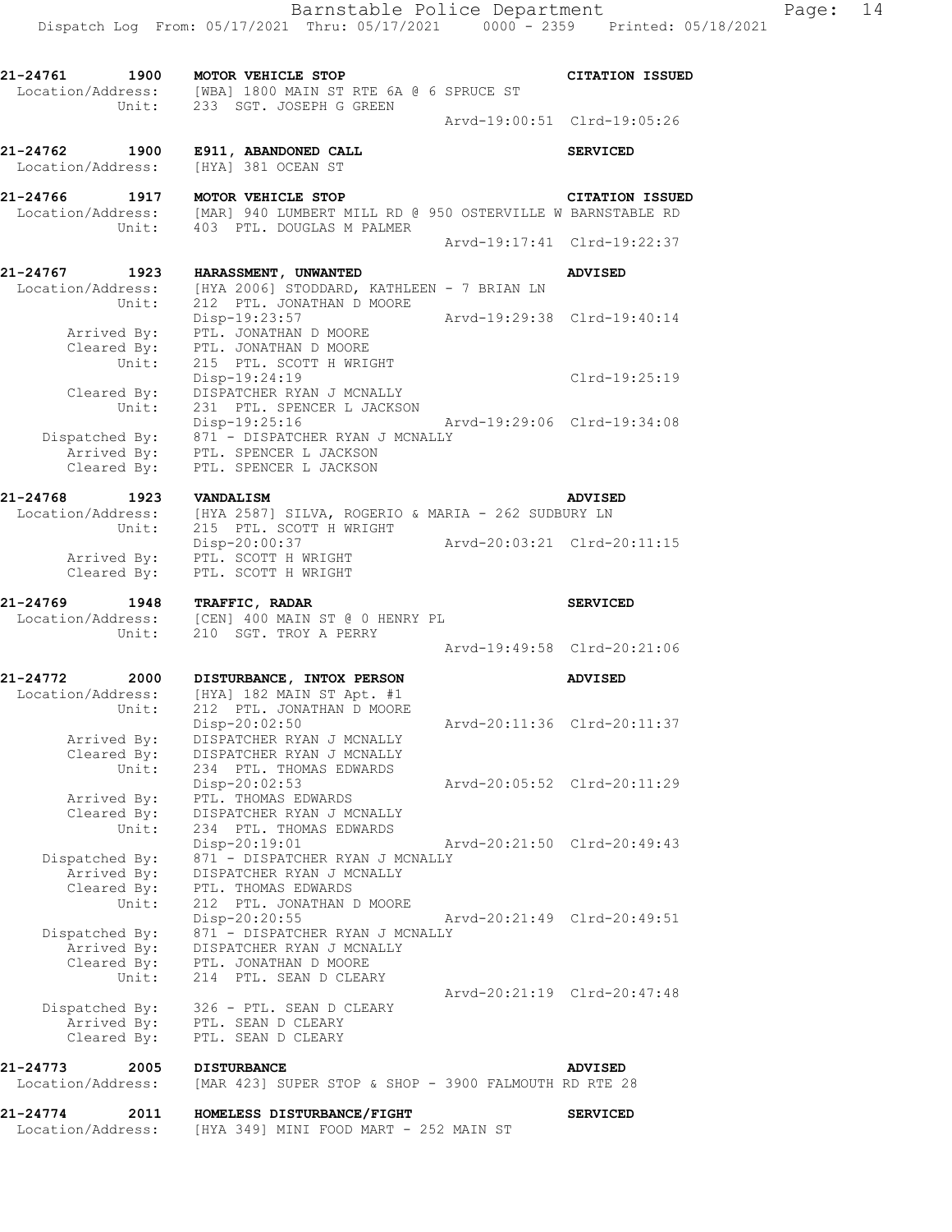**21-24761 1900 MOTOR VEHICLE STOP CITATION ISSUED** 

 Location/Address: [WBA] 1800 MAIN ST RTE 6A @ 6 SPRUCE ST Unit: 233 SGT. JOSEPH G GREEN Arvd-19:00:51 Clrd-19:05:26 **21-24762 1900 E911, ABANDONED CALL SERVICED**  Location/Address: [HYA] 381 OCEAN ST **21-24766 1917 MOTOR VEHICLE STOP CITATION ISSUED**  Location/Address: [MAR] 940 LUMBERT MILL RD @ 950 OSTERVILLE W BARNSTABLE RD Unit: 403 PTL. DOUGLAS M PALMER Arvd-19:17:41 Clrd-19:22:37 **21-24767 1923 HARASSMENT, UNWANTED ADVISED**  Location/Address: [HYA 2006] STODDARD, KATHLEEN - 7 BRIAN LN Unit: 212 PTL. JONATHAN D MOORE Disp-19:23:57 Arvd-19:29:38 Clrd-19:40:14 Arrived By: PTL. JONATHAN D MOORE Cleared By: PTL. JONATHAN D MOORE Unit: 215 PTL. SCOTT H WRIGHT Disp-19:24:19 Clrd-19:25:19 Cleared By: DISPATCHER RYAN J MCNALLY Unit: 231 PTL. SPENCER L JACKSON Disp-19:25:16 Arvd-19:29:06 Clrd-19:34:08 Dispatched By: 871 - DISPATCHER RYAN J MCNALLY .<br>Arrived By: PTL. SPENCER L JACKSON Cleared By: PTL. SPENCER L JACKSON **21-24768 1923 VANDALISM ADVISED**  Location/Address: [HYA 2587] SILVA, ROGERIO & MARIA - 262 SUDBURY LN Unit: 215 PTL. SCOTT H WRIGHT Disp-20:00:37 Arvd-20:03:21 Clrd-20:11:15 Arrived By: PTL. SCOTT H WRIGHT Cleared By: PTL. SCOTT H WRIGHT **21-24769 1948 TRAFFIC, RADAR SERVICED**  Location/Address: [CEN] 400 MAIN ST @ 0 HENRY PL Unit: 210 SGT. TROY A PERRY Arvd-19:49:58 Clrd-20:21:06 **21-24772 2000 DISTURBANCE, INTOX PERSON ADVISED**  Location/Address: [HYA] 182 MAIN ST Apt. #1 Unit: 212 PTL. JONATHAN D MOORE Disp-20:02:50 Arvd-20:11:36 Clrd-20:11:37 Arrived By: DISPATCHER RYAN J MCNALLY Cleared By: DISPATCHER RYAN J MCNALLY Unit: 234 PTL. THOMAS EDWARDS Disp-20:02:53 Arvd-20:05:52 Clrd-20:11:29 Arrived By: PTL. THOMAS EDWARDS Cleared By: DISPATCHER RYAN J MCNALLY Unit: 234 PTL. THOMAS EDWARDS Disp-20:19:01 Arvd-20:21:50 Clrd-20:49:43 Dispatched By: 871 - DISPATCHER RYAN J MCNALLY .<br>Arrived By: DISPATCHER RYAN J MCNALLY Cleared By: PTL. THOMAS EDWARDS Unit: 212 PTL. JONATHAN D MOORE Disp-20:20:55 Arvd-20:21:49 Clrd-20:49:51 Dispatched By: 871 - DISPATCHER RYAN J MCNALLY .<br>Arrived By: DISPATCHER RYAN J MCNALLY Cleared By: PTL. JONATHAN D MOORE Unit: 214 PTL. SEAN D CLEARY Arvd-20:21:19 Clrd-20:47:48 Dispatched By: 326 - PTL. SEAN D CLEARY .<br>Arrived By: PTL. SEAN D CLEARY Cleared By: PTL. SEAN D CLEARY **21-24773 2005 DISTURBANCE ADVISED**<br>Location/Address: [MAR 423] SUPER STOP & SHOP - 3900 FALMOUTH RD RTE 2 [MAR 423] SUPER STOP & SHOP - 3900 FALMOUTH RD RTE 28

**21-24774 2011 HOMELESS DISTURBANCE/FIGHT SERVICED**  Location/Address: [HYA 349] MINI FOOD MART - 252 MAIN ST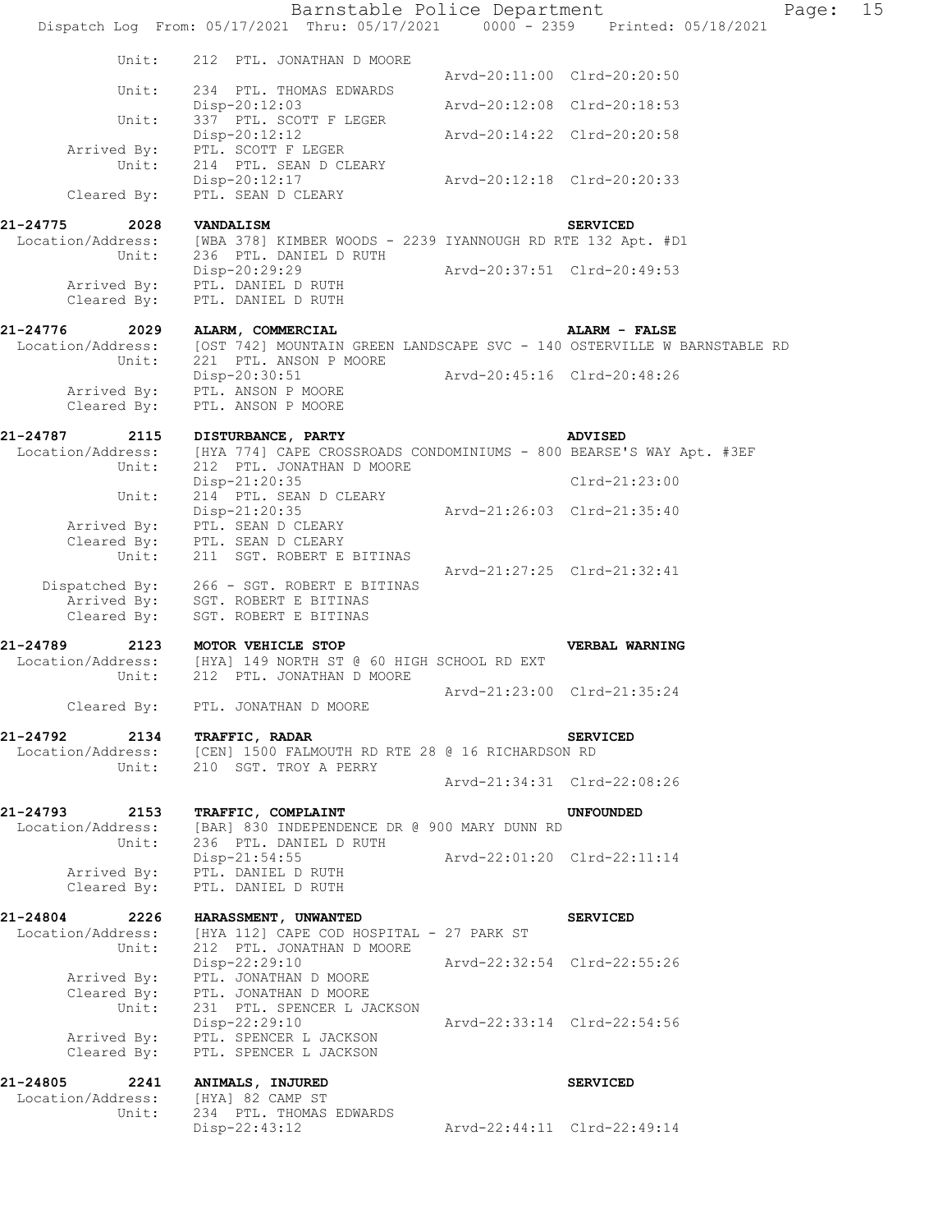Barnstable Police Department Fage: 15 Dispatch Log From: 05/17/2021 Thru: 05/17/2021 0000 - 2359 Printed: 05/18/2021 Unit: 212 PTL. JONATHAN D MOORE Arvd-20:11:00 Clrd-20:20:50 Unit: 234 PTL. THOMAS EDWARDS Disp-20:12:03 Arvd-20:12:08 Clrd-20:18:53 Unit: 337 PTL. SCOTT F LEGER Disp-20:12:12 Arvd-20:14:22 Clrd-20:20:58 Arrived By: PTL. SCOTT F LEGER<br>Unit: 214 PTL. SEAN D CLEP PIL. SOOTT I LISIE.<br>214 PTL. SEAN D CLEARY Disp-20:12:17 Arvd-20:12:18 Clrd-20:20:33 Cleared By: PTL. SEAN D CLEARY **21-24775 2028 VANDALISM SERVICED**  Location/Address: [WBA 378] KIMBER WOODS - 2239 IYANNOUGH RD RTE 132 Apt. #D1 Unit: 236 PTL. DANIEL D RUTH Disp-20:29:29 Arvd-20:37:51 Clrd-20:49:53 Arrived By: PTL. DANIEL D RUTH Cleared B $\overline{v}$ : PTL. DANIEL D RUTH **21-24776 2029 ALARM, COMMERCIAL ALARM - FALSE**  Location/Address: [OST 742] MOUNTAIN GREEN LANDSCAPE SVC - 140 OSTERVILLE W BARNSTABLE RD Unit: 221 PTL. ANSON P MOORE Disp-20:30:51 Arvd-20:45:16 Clrd-20:48:26 Arrived By: PTL. ANSON P MOORE Cleared By: PTL. ANSON P MOORE **21-24787 2115 DISTURBANCE, PARTY ADVISED**  Location/Address: [HYA 774] CAPE CROSSROADS CONDOMINIUMS - 800 BEARSE'S WAY Apt. #3EF Unit: 212 PTL. JONATHAN D MOORE Disp-21:20:35 Clrd-21:23:00 Disp-21:20:35<br>Unit: 214 PTL. SEAN D CLEARY Disp-21:20:35 Arvd-21:26:03 Clrd-21:35:40 Arrived By: PTL. SEAN D CLEARY Cleared By: PTL. SEAN D CLEARY Unit: 211 SGT. ROBERT E BITINAS Arvd-21:27:25 Clrd-21:32:41 Dispatched By: 266 - SGT. ROBERT E BITINAS .<br>Arrived By: SGT. ROBERT E BITINAS Cleared By: SGT. ROBERT E BITINAS **21-24789 2123 MOTOR VEHICLE STOP VERBAL WARNING**  Location/Address: [HYA] 149 NORTH ST @ 60 HIGH SCHOOL RD EXT Unit: 212 PTL. JONATHAN D MOORE Arvd-21:23:00 Clrd-21:35:24 Cleared By: PTL. JONATHAN D MOORE **21-24792 2134 TRAFFIC, RADAR SERVICED**  Location/Address: [CEN] 1500 FALMOUTH RD RTE 28 @ 16 RICHARDSON RD Unit: 210 SGT. TROY A PERRY Arvd-21:34:31 Clrd-22:08:26 **21-24793 2153 TRAFFIC, COMPLAINT UNFOUNDED**  Location/Address: [BAR] 830 INDEPENDENCE DR @ 900 MARY DUNN RD Unit: 236 PTL. DANIEL D RUTH Disp-21:54:55 Arvd-22:01:20 Clrd-22:11:14 Arrived By: PTL. DANIEL D RUTH Cleared By: PTL. DANIEL D RUTH **21-24804 2226 HARASSMENT, UNWANTED SERVICED**  Location/Address: [HYA 112] CAPE COD HOSPITAL - 27 PARK ST Unit: 212 PTL. JONATHAN D MOORE Disp-22:29:10 Arvd-22:32:54 Clrd-22:55:26 Arrived By: PTL. JONATHAN D MOORE Cleared By: PTL. JONATHAN D MOORE Unit: 231 PTL. SPENCER L JACKSON Disp-22:29:10 Arvd-22:33:14 Clrd-22:54:56 Arrived By: PTL. SPENCER L JACKSON Cleared By: PTL. SPENCER L JACKSON **21-24805 2241 ANIMALS, INJURED SERVICED**  Location/Address: [HYA] 82 CAMP ST Unit: 234 PTL. THOMAS EDWARDS Disp-22:43:12 Arvd-22:44:11 Clrd-22:49:14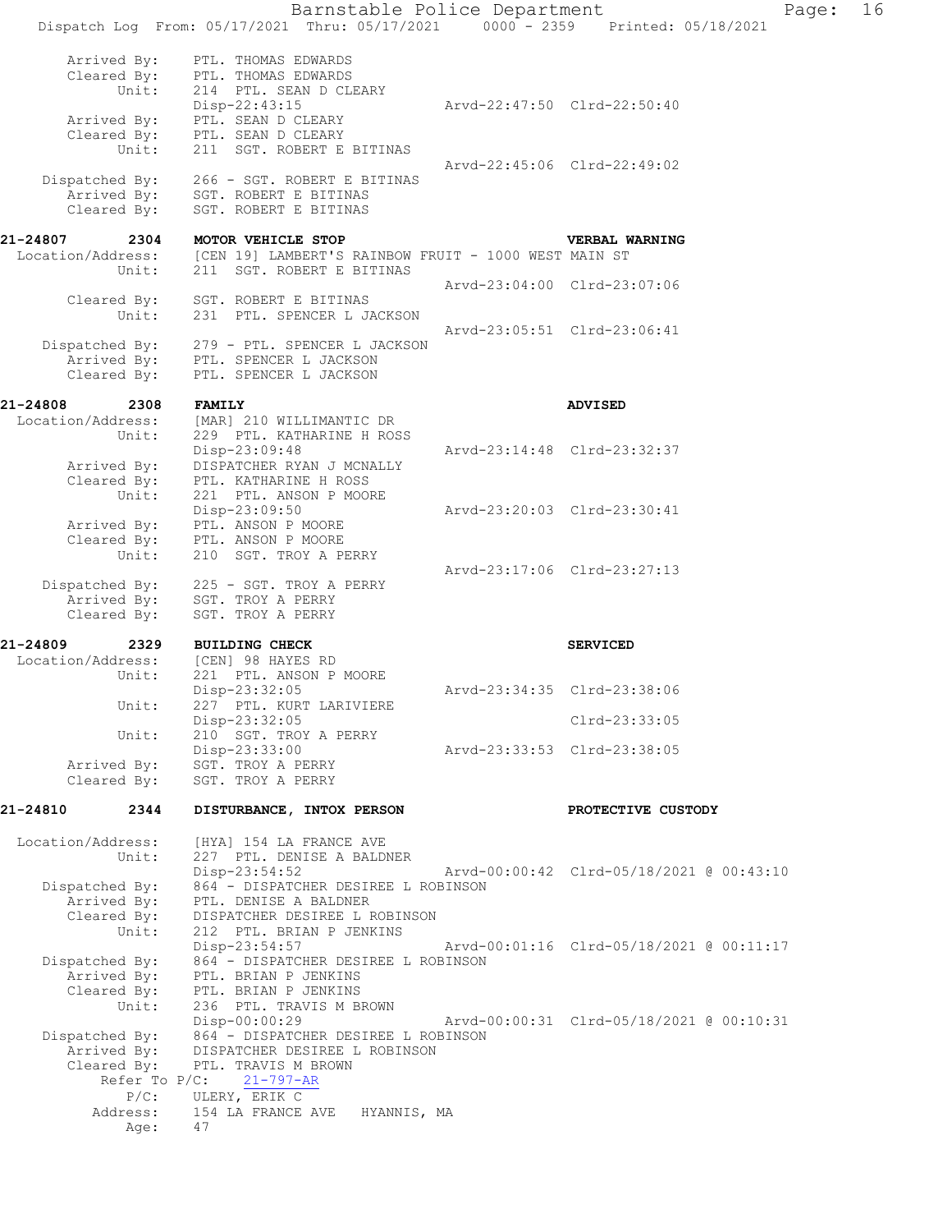|                                                                              |                                                                           | Barnstable Police Department<br>Dispatch Log From: 05/17/2021 Thru: 05/17/2021                                                                             |                             | 0000 - 2359 Printed: 05/18/2021          | Page: | 16 |
|------------------------------------------------------------------------------|---------------------------------------------------------------------------|------------------------------------------------------------------------------------------------------------------------------------------------------------|-----------------------------|------------------------------------------|-------|----|
|                                                                              | Arrived By:<br>Cleared By:<br>Unit:                                       | PTL. THOMAS EDWARDS<br>PTL. THOMAS EDWARDS<br>214 PTL. SEAN D CLEARY                                                                                       |                             |                                          |       |    |
| Arrived By:<br>Cleared By:<br>Unit:                                          |                                                                           | Disp-22:43:15<br>PTL. SEAN D CLEARY<br>PTL. SEAN D CLEARY<br>211 SGT. ROBERT E BITINAS                                                                     | Arvd-22:47:50 Clrd-22:50:40 |                                          |       |    |
| Dispatched By:<br>Arrived By:<br>Cleared By:                                 |                                                                           | 266 - SGT. ROBERT E BITINAS<br>SGT. ROBERT E BITINAS<br>SGT. ROBERT E BITINAS                                                                              | Arvd-22:45:06 Clrd-22:49:02 |                                          |       |    |
| 21-24807<br>Location/Address:                                                | 2304<br>Unit:                                                             | MOTOR VEHICLE STOP<br>[CEN 19] LAMBERT'S RAINBOW FRUIT - 1000 WEST MAIN ST<br>211 SGT. ROBERT E BITINAS                                                    |                             | VERBAL WARNING                           |       |    |
| Cleared By:<br>Unit:                                                         |                                                                           | SGT. ROBERT E BITINAS<br>231 PTL. SPENCER L JACKSON                                                                                                        | Arvd-23:04:00 Clrd-23:07:06 |                                          |       |    |
| Dispatched By:<br>Cleared By:                                                |                                                                           | 279 - PTL. SPENCER L JACKSON<br>Arrived By: PTL. SPENCER L JACKSON<br>PTL. SPENCER L JACKSON                                                               | Arvd-23:05:51 Clrd-23:06:41 |                                          |       |    |
| 21-24808<br>2308<br>Location/Address:<br>Unit:<br>Arrived By:<br>Cleared By: |                                                                           | <b>FAMILY</b>                                                                                                                                              |                             | <b>ADVISED</b>                           |       |    |
|                                                                              |                                                                           | [MAR] 210 WILLIMANTIC DR<br>229 PTL. KATHARINE H ROSS<br>Disp-23:09:48<br>DISPATCHER RYAN J MCNALLY<br>PTL. KATHARINE H ROSS                               | Arvd-23:14:48 Clrd-23:32:37 |                                          |       |    |
|                                                                              | Unit:<br>Arrived By:                                                      | 221 PTL. ANSON P MOORE<br>Disp-23:09:50<br>PTL. ANSON P MOORE                                                                                              | Arvd-23:20:03 Clrd-23:30:41 |                                          |       |    |
|                                                                              | Cleared By:<br>Unit:                                                      | PTL. ANSON P MOORE<br>SGT. TROY A PERRY<br>210                                                                                                             | Arvd-23:17:06 Clrd-23:27:13 |                                          |       |    |
| Dispatched By:<br>Arrived By:<br>Cleared By:                                 |                                                                           | 225 - SGT. TROY A PERRY<br>SGT. TROY A PERRY<br>SGT. TROY A PERRY                                                                                          |                             |                                          |       |    |
| 21-24809<br>2329<br>Location/Address:<br>Unit:<br>Unit:                      |                                                                           | <b>BUILDING CHECK</b><br>[CEN] 98 HAYES RD                                                                                                                 |                             | <b>SERVICED</b>                          |       |    |
|                                                                              |                                                                           | 221 PTL. ANSON P MOORE<br>Disp-23:32:05<br>227 PTL. KURT LARIVIERE                                                                                         | Arvd-23:34:35 Clrd-23:38:06 |                                          |       |    |
|                                                                              | Unit:                                                                     | Disp-23:32:05<br>210 SGT. TROY A PERRY                                                                                                                     |                             | Clrd-23:33:05                            |       |    |
| Arrived By:<br>Cleared By:                                                   |                                                                           | Disp-23:33:00<br>SGT. TROY A PERRY<br>SGT. TROY A PERRY                                                                                                    | Arvd-23:33:53 Clrd-23:38:05 |                                          |       |    |
| 21-24810                                                                     | 2344                                                                      | DISTURBANCE, INTOX PERSON                                                                                                                                  |                             | PROTECTIVE CUSTODY                       |       |    |
| Location/Address:                                                            | Unit:                                                                     | [HYA] 154 LA FRANCE AVE<br>227 PTL. DENISE A BALDNER                                                                                                       |                             |                                          |       |    |
| Dispatched By:<br>Arrived By:                                                |                                                                           | $Disp-23:54:52$<br>864 - DISPATCHER DESIREE L ROBINSON<br>PTL. DENISE A BALDNER                                                                            |                             | Arvd-00:00:42 Clrd-05/18/2021 @ 00:43:10 |       |    |
| Cleared By:<br>Unit:                                                         |                                                                           | DISPATCHER DESIREE L ROBINSON<br>212 PTL. BRIAN P JENKINS<br>Disp-23:54:57                                                                                 |                             | Arvd-00:01:16 Clrd-05/18/2021 @ 00:11:17 |       |    |
| Dispatched By:<br>Arrived By:<br>Cleared By:                                 |                                                                           | 864 - DISPATCHER DESIREE L ROBINSON<br>PTL. BRIAN P JENKINS<br>PTL. BRIAN P JENKINS                                                                        |                             |                                          |       |    |
|                                                                              | Unit:<br>Dispatched By:<br>Arrived By:<br>Cleared By:<br>Refer To $P/C$ : | 236 PTL. TRAVIS M BROWN<br>Disp-00:00:29<br>864 - DISPATCHER DESIREE L ROBINSON<br>DISPATCHER DESIREE L ROBINSON<br>PTL. TRAVIS M BROWN<br>$21 - 797 - AR$ |                             | Arvd-00:00:31 Clrd-05/18/2021 @ 00:10:31 |       |    |
|                                                                              | $P/C$ :<br>Address:<br>Age:                                               | ULERY, ERIK C<br>154 LA FRANCE AVE<br>HYANNIS, MA<br>47                                                                                                    |                             |                                          |       |    |
|                                                                              |                                                                           |                                                                                                                                                            |                             |                                          |       |    |